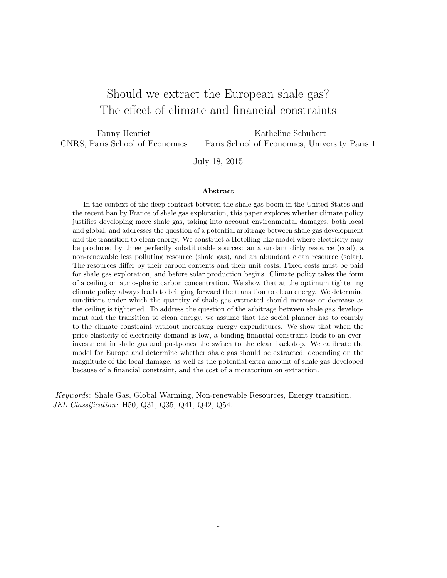# Should we extract the European shale gas? The effect of climate and financial constraints

Fanny Henriet CNRS, Paris School of Economics Katheline Schubert Paris School of Economics, University Paris 1

July 18, 2015

#### Abstract

In the context of the deep contrast between the shale gas boom in the United States and the recent ban by France of shale gas exploration, this paper explores whether climate policy justifies developing more shale gas, taking into account environmental damages, both local and global, and addresses the question of a potential arbitrage between shale gas development and the transition to clean energy. We construct a Hotelling-like model where electricity may be produced by three perfectly substitutable sources: an abundant dirty resource (coal), a non-renewable less polluting resource (shale gas), and an abundant clean resource (solar). The resources differ by their carbon contents and their unit costs. Fixed costs must be paid for shale gas exploration, and before solar production begins. Climate policy takes the form of a ceiling on atmospheric carbon concentration. We show that at the optimum tightening climate policy always leads to bringing forward the transition to clean energy. We determine conditions under which the quantity of shale gas extracted should increase or decrease as the ceiling is tightened. To address the question of the arbitrage between shale gas development and the transition to clean energy, we assume that the social planner has to comply to the climate constraint without increasing energy expenditures. We show that when the price elasticity of electricity demand is low, a binding financial constraint leads to an overinvestment in shale gas and postpones the switch to the clean backstop. We calibrate the model for Europe and determine whether shale gas should be extracted, depending on the magnitude of the local damage, as well as the potential extra amount of shale gas developed because of a financial constraint, and the cost of a moratorium on extraction.

Keywords: Shale Gas, Global Warming, Non-renewable Resources, Energy transition. JEL Classification: H50, Q31, Q35, Q41, Q42, Q54.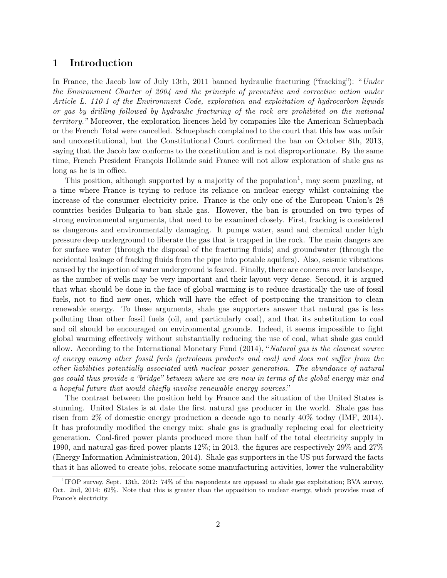### 1 Introduction

In France, the Jacob law of July 13th, 2011 banned hydraulic fracturing ("fracking"): "Under the Environment Charter of 2004 and the principle of preventive and corrective action under Article L. 110-1 of the Environment Code, exploration and exploitation of hydrocarbon liquids or gas by drilling followed by hydraulic fracturing of the rock are prohibited on the national territory." Moreover, the exploration licences held by companies like the American Schuepbach or the French Total were cancelled. Schuepbach complained to the court that this law was unfair and unconstitutional, but the Constitutional Court confirmed the ban on October 8th, 2013, saying that the Jacob law conforms to the constitution and is not disproportionate. By the same time, French President François Hollande said France will not allow exploration of shale gas as long as he is in office.

This position, although supported by a majority of the population<sup>1</sup>, may seem puzzling, at a time where France is trying to reduce its reliance on nuclear energy whilst containing the increase of the consumer electricity price. France is the only one of the European Union's 28 countries besides Bulgaria to ban shale gas. However, the ban is grounded on two types of strong environmental arguments, that need to be examined closely. First, fracking is considered as dangerous and environmentally damaging. It pumps water, sand and chemical under high pressure deep underground to liberate the gas that is trapped in the rock. The main dangers are for surface water (through the disposal of the fracturing fluids) and groundwater (through the accidental leakage of fracking fluids from the pipe into potable aquifers). Also, seismic vibrations caused by the injection of water underground is feared. Finally, there are concerns over landscape, as the number of wells may be very important and their layout very dense. Second, it is argued that what should be done in the face of global warming is to reduce drastically the use of fossil fuels, not to find new ones, which will have the effect of postponing the transition to clean renewable energy. To these arguments, shale gas supporters answer that natural gas is less polluting than other fossil fuels (oil, and particularly coal), and that its substitution to coal and oil should be encouraged on environmental grounds. Indeed, it seems impossible to fight global warming effectively without substantially reducing the use of coal, what shale gas could allow. According to the International Monetary Fund (2014), "Natural gas is the cleanest source of energy among other fossil fuels (petroleum products and coal) and does not suffer from the other liabilities potentially associated with nuclear power generation. The abundance of natural gas could thus provide a "bridge" between where we are now in terms of the global energy mix and a hopeful future that would chiefly involve renewable energy sources."

The contrast between the position held by France and the situation of the United States is stunning. United States is at date the first natural gas producer in the world. Shale gas has risen from 2% of domestic energy production a decade ago to nearly 40% today (IMF, 2014). It has profoundly modified the energy mix: shale gas is gradually replacing coal for electricity generation. Coal-fired power plants produced more than half of the total electricity supply in 1990, and natural gas-fired power plants 12%; in 2013, the figures are respectively 29% and 27% (Energy Information Administration, 2014). Shale gas supporters in the US put forward the facts that it has allowed to create jobs, relocate some manufacturing activities, lower the vulnerability

<sup>1</sup> IFOP survey, Sept. 13th, 2012: 74% of the respondents are opposed to shale gas exploitation; BVA survey, Oct. 2nd, 2014: 62%. Note that this is greater than the opposition to nuclear energy, which provides most of France's electricity.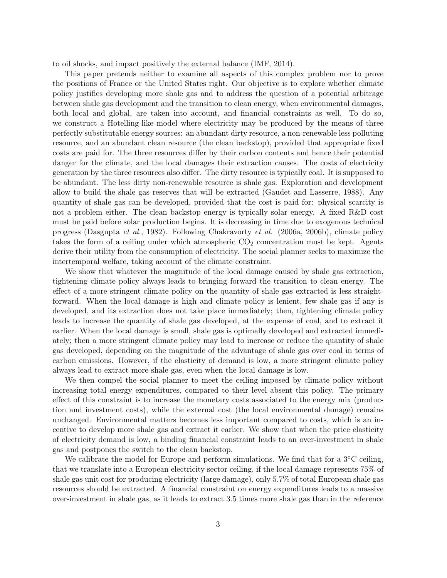to oil shocks, and impact positively the external balance (IMF, 2014).

This paper pretends neither to examine all aspects of this complex problem nor to prove the positions of France or the United States right. Our objective is to explore whether climate policy justifies developing more shale gas and to address the question of a potential arbitrage between shale gas development and the transition to clean energy, when environmental damages, both local and global, are taken into account, and financial constraints as well. To do so, we construct a Hotelling-like model where electricity may be produced by the means of three perfectly substitutable energy sources: an abundant dirty resource, a non-renewable less polluting resource, and an abundant clean resource (the clean backstop), provided that appropriate fixed costs are paid for. The three resources differ by their carbon contents and hence their potential danger for the climate, and the local damages their extraction causes. The costs of electricity generation by the three resources also differ. The dirty resource is typically coal. It is supposed to be abundant. The less dirty non-renewable resource is shale gas. Exploration and development allow to build the shale gas reserves that will be extracted (Gaudet and Lasserre, 1988). Any quantity of shale gas can be developed, provided that the cost is paid for: physical scarcity is not a problem either. The clean backstop energy is typically solar energy. A fixed R&D cost must be paid before solar production begins. It is decreasing in time due to exogenous technical progress (Dasgupta et al., 1982). Following Chakravorty et al. (2006a, 2006b), climate policy takes the form of a ceiling under which atmospheric  $CO<sub>2</sub>$  concentration must be kept. Agents derive their utility from the consumption of electricity. The social planner seeks to maximize the intertemporal welfare, taking account of the climate constraint.

We show that whatever the magnitude of the local damage caused by shale gas extraction, tightening climate policy always leads to bringing forward the transition to clean energy. The effect of a more stringent climate policy on the quantity of shale gas extracted is less straightforward. When the local damage is high and climate policy is lenient, few shale gas if any is developed, and its extraction does not take place immediately; then, tightening climate policy leads to increase the quantity of shale gas developed, at the expense of coal, and to extract it earlier. When the local damage is small, shale gas is optimally developed and extracted immediately; then a more stringent climate policy may lead to increase or reduce the quantity of shale gas developed, depending on the magnitude of the advantage of shale gas over coal in terms of carbon emissions. However, if the elasticity of demand is low, a more stringent climate policy always lead to extract more shale gas, even when the local damage is low.

We then compel the social planner to meet the ceiling imposed by climate policy without increasing total energy expenditures, compared to their level absent this policy. The primary effect of this constraint is to increase the monetary costs associated to the energy mix (production and investment costs), while the external cost (the local environmental damage) remains unchanged. Environmental matters becomes less important compared to costs, which is an incentive to develop more shale gas and extract it earlier. We show that when the price elasticity of electricity demand is low, a binding financial constraint leads to an over-investment in shale gas and postpones the switch to the clean backstop.

We calibrate the model for Europe and perform simulations. We find that for a  $3^{\circ}C$  ceiling, that we translate into a European electricity sector ceiling, if the local damage represents 75% of shale gas unit cost for producing electricity (large damage), only 5.7% of total European shale gas resources should be extracted. A financial constraint on energy expenditures leads to a massive over-investment in shale gas, as it leads to extract 3.5 times more shale gas than in the reference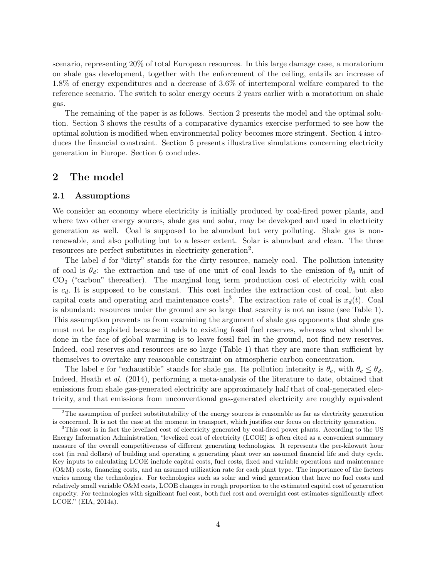scenario, representing 20% of total European resources. In this large damage case, a moratorium on shale gas development, together with the enforcement of the ceiling, entails an increase of 1.8% of energy expenditures and a decrease of 3.6% of intertemporal welfare compared to the reference scenario. The switch to solar energy occurs 2 years earlier with a moratorium on shale gas.

The remaining of the paper is as follows. Section 2 presents the model and the optimal solution. Section 3 shows the results of a comparative dynamics exercise performed to see how the optimal solution is modified when environmental policy becomes more stringent. Section 4 introduces the financial constraint. Section 5 presents illustrative simulations concerning electricity generation in Europe. Section 6 concludes.

### 2 The model

### 2.1 Assumptions

We consider an economy where electricity is initially produced by coal-fired power plants, and where two other energy sources, shale gas and solar, may be developed and used in electricity generation as well. Coal is supposed to be abundant but very polluting. Shale gas is nonrenewable, and also polluting but to a lesser extent. Solar is abundant and clean. The three resources are perfect substitutes in electricity generation<sup>2</sup>.

The label  $d$  for "dirty" stands for the dirty resource, namely coal. The pollution intensity of coal is  $\theta_d$ : the extraction and use of one unit of coal leads to the emission of  $\theta_d$  unit of CO<sup>2</sup> ("carbon" thereafter). The marginal long term production cost of electricity with coal is  $c_d$ . It is supposed to be constant. This cost includes the extraction cost of coal, but also capital costs and operating and maintenance costs<sup>3</sup>. The extraction rate of coal is  $x_d(t)$ . Coal is abundant: resources under the ground are so large that scarcity is not an issue (see Table 1). This assumption prevents us from examining the argument of shale gas opponents that shale gas must not be exploited because it adds to existing fossil fuel reserves, whereas what should be done in the face of global warming is to leave fossil fuel in the ground, not find new reserves. Indeed, coal reserves and resources are so large (Table 1) that they are more than sufficient by themselves to overtake any reasonable constraint on atmospheric carbon concentration.

The label e for "exhaustible" stands for shale gas. Its pollution intensity is  $\theta_e$ , with  $\theta_e \leq \theta_d$ . Indeed, Heath *et al.* (2014), performing a meta-analysis of the literature to date, obtained that emissions from shale gas-generated electricity are approximately half that of coal-generated electricity, and that emissions from unconventional gas-generated electricity are roughly equivalent

 $2<sup>2</sup>$ The assumption of perfect substitutability of the energy sources is reasonable as far as electricity generation is concerned. It is not the case at the moment in transport, which justifies our focus on electricity generation.

<sup>3</sup>This cost is in fact the levelized cost of electricity generated by coal-fired power plants. According to the US Energy Information Administration, "levelized cost of electricity (LCOE) is often cited as a convenient summary measure of the overall competitiveness of different generating technologies. It represents the per-kilowatt hour cost (in real dollars) of building and operating a generating plant over an assumed financial life and duty cycle. Key inputs to calculating LCOE include capital costs, fuel costs, fixed and variable operations and maintenance (O&M) costs, financing costs, and an assumed utilization rate for each plant type. The importance of the factors varies among the technologies. For technologies such as solar and wind generation that have no fuel costs and relatively small variable O&M costs, LCOE changes in rough proportion to the estimated capital cost of generation capacity. For technologies with significant fuel cost, both fuel cost and overnight cost estimates significantly affect LCOE." (EIA, 2014a).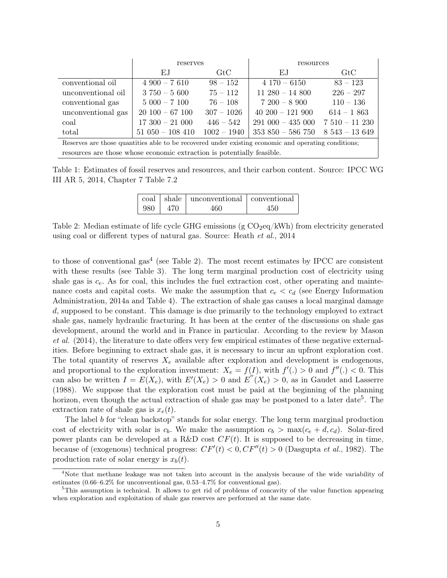|                                                                                                      | reserves            |              | resources            |              |  |  |  |
|------------------------------------------------------------------------------------------------------|---------------------|--------------|----------------------|--------------|--|--|--|
|                                                                                                      | GtC.<br>EJ          |              | EJ.                  | $\rm GtC$    |  |  |  |
| conventional oil                                                                                     | $4900 - 7610$       | $98 - 152$   | $4170 - 6150$        | $83 - 123$   |  |  |  |
| unconventional oil                                                                                   | $3750 - 5600$       | $75 - 112$   | $11\,280 - 14\,800$  | $226 - 297$  |  |  |  |
| conventional gas                                                                                     | $5000 - 7100$       | $76 - 108$   | $7200 - 8900$        | $110 - 136$  |  |  |  |
| unconventional gas                                                                                   | $20\ 100 - 67\ 100$ | $307 - 1026$ | $40\ 200 - 121\ 900$ | $614 - 1863$ |  |  |  |
| $17\,300 - 21\,000$<br>$7510 - 11230$<br>$446 - 542$<br>$291\,000 - 435\,000$<br>coal                |                     |              |                      |              |  |  |  |
| $1002 - 1940$<br>$51\,050 - 108\,410$<br>$353850 - 586750$<br>$8543 - 13649$<br>total                |                     |              |                      |              |  |  |  |
| Reserves are those quantities able to be recovered under existing economic and operating conditions; |                     |              |                      |              |  |  |  |
| resources are those whose economic extraction is potentially feasible.                               |                     |              |                      |              |  |  |  |

Table 1: Estimates of fossil reserves and resources, and their carbon content. Source: IPCC WG III AR 5, 2014, Chapter 7 Table 7.2

|     |      | coal shale unconventional conventional |      |
|-----|------|----------------------------------------|------|
| 980 | -470 | 460                                    | 450. |

Table 2: Median estimate of life cycle GHG emissions (g  $CO<sub>2</sub>eq/kWh$ ) from electricity generated using coal or different types of natural gas. Source: Heath et al., 2014

to those of conventional  $\text{gas}^4$  (see Table 2). The most recent estimates by IPCC are consistent with these results (see Table 3). The long term marginal production cost of electricity using shale gas is  $c_e$ . As for coal, this includes the fuel extraction cost, other operating and maintenance costs and capital costs. We make the assumption that  $c_e < c_d$  (see Energy Information Administration, 2014a and Table 4). The extraction of shale gas causes a local marginal damage d, supposed to be constant. This damage is due primarily to the technology employed to extract shale gas, namely hydraulic fracturing. It has been at the center of the discussions on shale gas development, around the world and in France in particular. According to the review by Mason et al. (2014), the literature to date offers very few empirical estimates of these negative externalities. Before beginning to extract shale gas, it is necessary to incur an upfront exploration cost. The total quantity of reserves  $X_e$  available after exploration and development is endogenous, and proportional to the exploration investment:  $X_e = f(I)$ , with  $f'(.) > 0$  and  $f''(.) < 0$ . This can also be written  $I = E(X_e)$ , with  $E'(X_e) > 0$  and  $E''(X_e) > 0$ , as in Gaudet and Lasserre (1988). We suppose that the exploration cost must be paid at the beginning of the planning horizon, even though the actual extraction of shale gas may be postponed to a later date<sup>5</sup>. The extraction rate of shale gas is  $x_e(t)$ .

The label b for "clean backstop" stands for solar energy. The long term marginal production cost of electricity with solar is  $c_b$ . We make the assumption  $c_b > \max(c_e + d, c_d)$ . Solar-fired power plants can be developed at a R&D cost  $CF(t)$ . It is supposed to be decreasing in time, because of (exogenous) technical progress:  $CF'(t) < 0, CF''(t) > 0$  (Dasgupta *et al.*, 1982). The production rate of solar energy is  $x_b(t)$ .

<sup>&</sup>lt;sup>4</sup>Note that methane leakage was not taken into account in the analysis because of the wide variability of estimates (0.66–6.2% for unconventional gas, 0.53–4.7% for conventional gas).

<sup>&</sup>lt;sup>5</sup>This assumption is technical. It allows to get rid of problems of concavity of the value function appearing when exploration and exploitation of shale gas reserves are performed at the same date.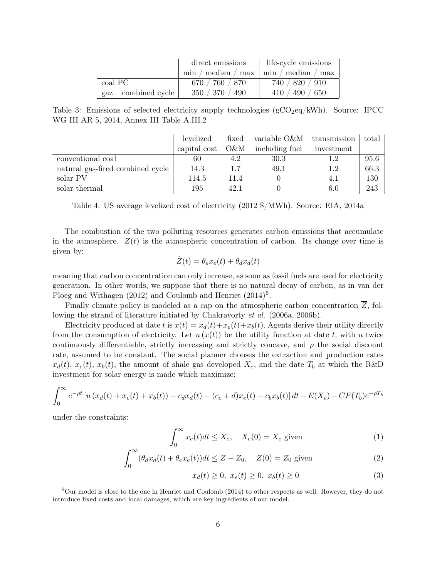|                                      | direct emissions                        | life-cycle emissions                    |  |  |
|--------------------------------------|-----------------------------------------|-----------------------------------------|--|--|
|                                      | $\min / \mathrm{median} / \mathrm{max}$ | $\min / \mathrm{median} / \mathrm{max}$ |  |  |
| coal PC                              | 670 / 760 / 870                         | 740 / 820 / 910                         |  |  |
| $\text{gaz} - \text{combined cycle}$ | 350 / 370 /<br>490                      | 490/<br>650<br>410.                     |  |  |

Table 3: Emissions of selected electricity supply technologies  $(gCO_2eq/kWh)$ . Source: IPCC WG III AR 5, 2014, Annex III Table A.III.2

|                                  | levelized    | fixed | variable O&M transmission |            | total |
|----------------------------------|--------------|-------|---------------------------|------------|-------|
|                                  | capital cost | O&M   | including fuel            | investment |       |
| conventional coal                | 60           | 4.2   | 30.3                      | 1.2        | 95.6  |
| natural gas-fired combined cycle | 14.3         |       | 49.1                      | 1.2        | 66.3  |
| solar PV                         | 114.5        | 11.4  |                           | 4.1        | 130   |
| solar thermal                    | 195          | 42.1  |                           | 6.0        | 243   |

Table 4: US average levelized cost of electricity (2012 \$/MWh). Source: EIA, 2014a

The combustion of the two polluting resources generates carbon emissions that accumulate in the atmosphere.  $Z(t)$  is the atmospheric concentration of carbon. Its change over time is given by:

$$
\dot{Z}(t) = \theta_e x_e(t) + \theta_d x_d(t)
$$

meaning that carbon concentration can only increase, as soon as fossil fuels are used for electricity generation. In other words, we suppose that there is no natural decay of carbon, as in van der Ploeg and Withagen  $(2012)$  and Coulomb and Henriet  $(2014)^6$ .

Finally climate policy is modeled as a cap on the atmospheric carbon concentration Z, following the strand of literature initiated by Chakravorty *et al.* (2006a, 2006b).

Electricity produced at date t is  $x(t) = x_d(t) + x_e(t) + x_b(t)$ . Agents derive their utility directly from the consumption of electricity. Let  $u(x(t))$  be the utility function at date t, with u twice continuously differentiable, strictly increasing and strictly concave, and  $\rho$  the social discount rate, assumed to be constant. The social planner chooses the extraction and production rates  $x_d(t)$ ,  $x_e(t)$ ,  $x_b(t)$ , the amount of shale gas developed  $X_e$ , and the date  $T_b$  at which the R&D investment for solar energy is made which maximize:

$$
\int_0^{\infty} e^{-\rho t} \left[ u \left( x_d(t) + x_e(t) + x_b(t) \right) - c_d x_d(t) - (c_e + d) x_e(t) - c_b x_b(t) \right] dt - E(X_e) - C F(T_b) e^{-\rho T_b}
$$

under the constraints:

$$
\int_0^\infty x_e(t)dt \le X_e, \quad X_e(0) = X_e \text{ given} \tag{1}
$$

$$
\int_0^\infty (\theta_d x_d(t) + \theta_e x_e(t)) dt \le \overline{Z} - Z_0, \quad Z(0) = Z_0 \text{ given}
$$
 (2)

$$
x_d(t) \ge 0, \ x_e(t) \ge 0, \ x_b(t) \ge 0 \tag{3}
$$

 $6$ Our model is close to the one in Henriet and Coulomb (2014) to other respects as well. However, they do not introduce fixed costs and local damages, which are key ingredients of our model.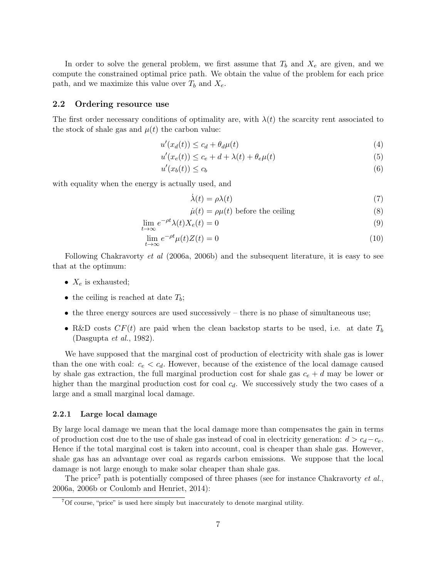In order to solve the general problem, we first assume that  $T_b$  and  $X_e$  are given, and we compute the constrained optimal price path. We obtain the value of the problem for each price path, and we maximize this value over  $T_b$  and  $X_e$ .

### 2.2 Ordering resource use

The first order necessary conditions of optimality are, with  $\lambda(t)$  the scarcity rent associated to the stock of shale gas and  $\mu(t)$  the carbon value:

$$
u'(x_d(t)) \le c_d + \theta_d \mu(t) \tag{4}
$$

$$
u'(x_e(t)) \le c_e + d + \lambda(t) + \theta_e \mu(t)
$$
\n<sup>(5)</sup>

$$
u'(x_b(t)) \le c_b \tag{6}
$$

with equality when the energy is actually used, and

$$
\dot{\lambda}(t) = \rho \lambda(t) \tag{7}
$$

$$
\dot{\mu}(t) = \rho \mu(t) \text{ before the ceiling} \tag{8}
$$

$$
\lim_{t \to \infty} e^{-\rho t} \lambda(t) X_e(t) = 0 \tag{9}
$$

$$
\lim_{t \to \infty} e^{-\rho t} \mu(t) Z(t) = 0 \tag{10}
$$

Following Chakravorty et al (2006a, 2006b) and the subsequent literature, it is easy to see that at the optimum:

- $X_e$  is exhausted;
- the ceiling is reached at date  $T_b$ ;
- $\bullet$  the three energy sources are used successively there is no phase of simultaneous use;
- R&D costs  $CF(t)$  are paid when the clean backstop starts to be used, i.e. at date  $T<sub>b</sub>$ (Dasgupta et al., 1982).

We have supposed that the marginal cost of production of electricity with shale gas is lower than the one with coal:  $c_e < c_d$ . However, because of the existence of the local damage caused by shale gas extraction, the full marginal production cost for shale gas  $c_e + d$  may be lower or higher than the marginal production cost for coal  $c_d$ . We successively study the two cases of a large and a small marginal local damage.

#### 2.2.1 Large local damage

By large local damage we mean that the local damage more than compensates the gain in terms of production cost due to the use of shale gas instead of coal in electricity generation:  $d > c_d - c_e$ . Hence if the total marginal cost is taken into account, coal is cheaper than shale gas. However, shale gas has an advantage over coal as regards carbon emissions. We suppose that the local damage is not large enough to make solar cheaper than shale gas.

The price<sup>7</sup> path is potentially composed of three phases (see for instance Chakravorty *et al.*, 2006a, 2006b or Coulomb and Henriet, 2014):

<sup>7</sup>Of course, "price" is used here simply but inaccurately to denote marginal utility.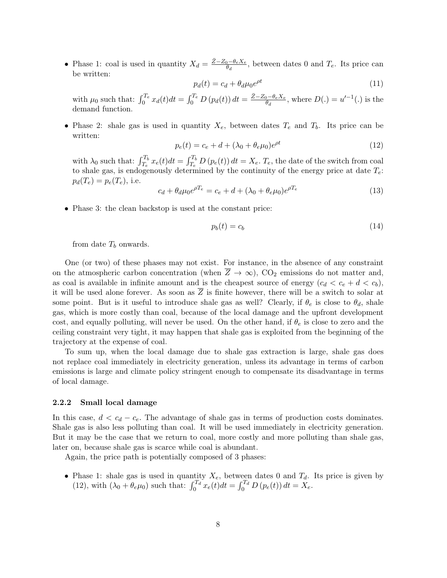• Phase 1: coal is used in quantity  $X_d = \frac{\bar{Z}-Z_0-\theta_eX_e}{\theta_d}$  $\frac{\partial \theta - \theta_e X_e}{\partial d}$ , between dates 0 and  $T_e$ . Its price can be written:

$$
p_d(t) = c_d + \theta_d \mu_0 e^{\rho t} \tag{11}
$$

with  $\mu_0$  such that:  $\int_0^{T_e} x_d(t)dt = \int_0^{T_e} D(p_d(t)) dt = \frac{\bar{Z} - Z_0 - \theta_e X_e}{\theta_d}$  $\frac{\partial_0 - \theta_e X_e}{\partial_d}$ , where  $D(.) = u'^{-1}(.)$  is the demand function.

• Phase 2: shale gas is used in quantity  $X_e$ , between dates  $T_e$  and  $T_b$ . Its price can be written:

$$
p_e(t) = c_e + d + (\lambda_0 + \theta_e \mu_0)e^{\rho t}
$$
 (12)

with  $\lambda_0$  such that:  $\int_{T_e}^{T_b} x_e(t)dt = \int_{T_e}^{T_b} D(p_e(t)) dt = X_e$ .  $T_e$ , the date of the switch from coal to shale gas, is endogenously determined by the continuity of the energy price at date  $T_e$ :  $p_d(T_e) = p_e(T_e)$ , i.e.

$$
c_d + \theta_d \mu_0 e^{\rho T_e} = c_e + d + (\lambda_0 + \theta_e \mu_0) e^{\rho T_e}
$$
\n(13)

• Phase 3: the clean backstop is used at the constant price:

$$
p_b(t) = c_b \tag{14}
$$

from date  $T_b$  onwards.

One (or two) of these phases may not exist. For instance, in the absence of any constraint on the atmospheric carbon concentration (when  $\overline{Z} \to \infty$ ), CO<sub>2</sub> emissions do not matter and, as coal is available in infinite amount and is the cheapest source of energy  $(c_d < c_e + d < c_b)$ , it will be used alone forever. As soon as  $\overline{Z}$  is finite however, there will be a switch to solar at some point. But is it useful to introduce shale gas as well? Clearly, if  $\theta_e$  is close to  $\theta_d$ , shale gas, which is more costly than coal, because of the local damage and the upfront development cost, and equally polluting, will never be used. On the other hand, if  $\theta_e$  is close to zero and the ceiling constraint very tight, it may happen that shale gas is exploited from the beginning of the trajectory at the expense of coal.

To sum up, when the local damage due to shale gas extraction is large, shale gas does not replace coal immediately in electricity generation, unless its advantage in terms of carbon emissions is large and climate policy stringent enough to compensate its disadvantage in terms of local damage.

#### 2.2.2 Small local damage

In this case,  $d < c_d - c_e$ . The advantage of shale gas in terms of production costs dominates. Shale gas is also less polluting than coal. It will be used immediately in electricity generation. But it may be the case that we return to coal, more costly and more polluting than shale gas, later on, because shale gas is scarce while coal is abundant.

Again, the price path is potentially composed of 3 phases:

• Phase 1: shale gas is used in quantity  $X_e$ , between dates 0 and  $T_d$ . Its price is given by (12), with  $(\lambda_0 + \theta_e \mu_0)$  such that:  $\int_0^{T_d} x_e(t) dt = \int_0^{T_d} D(p_e(t)) dt = X_e$ .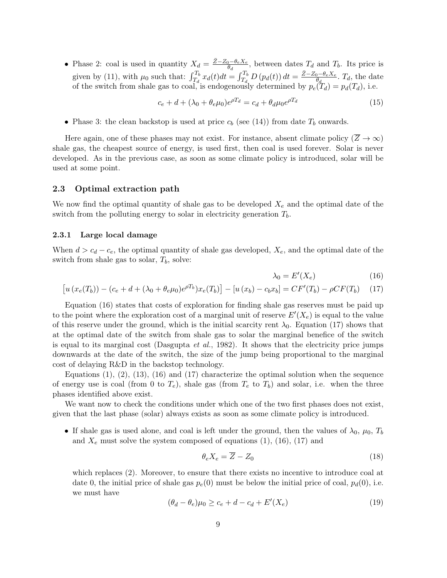• Phase 2: coal is used in quantity  $X_d = \frac{\bar{Z}-Z_0-\theta_eX_e}{\theta_d}$  $\frac{\partial g^{-1} \theta_e X_e}{\partial d}$ , between dates  $T_d$  and  $T_b$ . Its price is given by (11), with  $\mu_0$  such that:  $\int_{T_d}^{T_b} x_d(t)dt = \int_{T_d}^{T_b} D(p_d(t)) dt = \frac{\bar{Z} - Z_0 - \theta_e X_e}{\theta_d}$  $\frac{\partial \theta_d}{\partial d}$ .  $T_d$ , the date of the switch from shale gas to coal, is endogenously determined by  $p_e(T_d) = p_d(T_d)$ , i.e.

$$
c_e + d + (\lambda_0 + \theta_e \mu_0)e^{\rho T_d} = c_d + \theta_d \mu_0 e^{\rho T_d}
$$
\n(15)

• Phase 3: the clean backstop is used at price  $c<sub>b</sub>$  (see (14)) from date  $T<sub>b</sub>$  onwards.

Here again, one of these phases may not exist. For instance, absent climate policy ( $Z \rightarrow \infty$ ) shale gas, the cheapest source of energy, is used first, then coal is used forever. Solar is never developed. As in the previous case, as soon as some climate policy is introduced, solar will be used at some point.

### 2.3 Optimal extraction path

We now find the optimal quantity of shale gas to be developed  $X_e$  and the optimal date of the switch from the polluting energy to solar in electricity generation  $T_b$ .

#### 2.3.1 Large local damage

When  $d > c_d - c_e$ , the optimal quantity of shale gas developed,  $X_e$ , and the optimal date of the switch from shale gas to solar,  $T_b$ , solve:

$$
\lambda_0 = E'(X_e) \tag{16}
$$

$$
[u(x_e(T_b)) - (c_e + d + (\lambda_0 + \theta_e \mu_0)e^{\rho T_b})x_e(T_b)] - [u(x_b) - c_b x_b] = CF'(T_b) - \rho CF(T_b)
$$
 (17)

Equation (16) states that costs of exploration for finding shale gas reserves must be paid up to the point where the exploration cost of a marginal unit of reserve  $E'(X_e)$  is equal to the value of this reserve under the ground, which is the initial scarcity rent  $\lambda_0$ . Equation (17) shows that at the optimal date of the switch from shale gas to solar the marginal benefice of the switch is equal to its marginal cost (Dasgupta *et al.*, 1982). It shows that the electricity price jumps downwards at the date of the switch, the size of the jump being proportional to the marginal cost of delaying R&D in the backstop technology.

Equations  $(1)$ ,  $(2)$ ,  $(13)$ ,  $(16)$  and  $(17)$  characterize the optimal solution when the sequence of energy use is coal (from 0 to  $T_e$ ), shale gas (from  $T_e$  to  $T_b$ ) and solar, i.e. when the three phases identified above exist.

We want now to check the conditions under which one of the two first phases does not exist, given that the last phase (solar) always exists as soon as some climate policy is introduced.

• If shale gas is used alone, and coal is left under the ground, then the values of  $\lambda_0$ ,  $\mu_0$ ,  $T_b$ and  $X_e$  must solve the system composed of equations (1), (16), (17) and

$$
\theta_e X_e = \overline{Z} - Z_0 \tag{18}
$$

which replaces (2). Moreover, to ensure that there exists no incentive to introduce coal at date 0, the initial price of shale gas  $p_e(0)$  must be below the initial price of coal,  $p_d(0)$ , i.e. we must have

$$
(\theta_d - \theta_e)\mu_0 \ge c_e + d - c_d + E'(X_e)
$$
\n<sup>(19)</sup>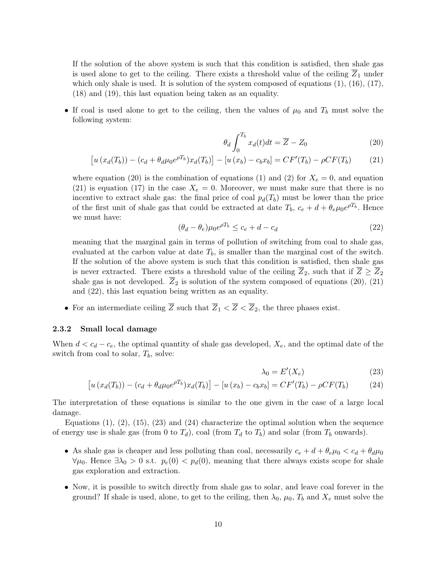If the solution of the above system is such that this condition is satisfied, then shale gas is used alone to get to the ceiling. There exists a threshold value of the ceiling  $\overline{Z}_1$  under which only shale is used. It is solution of the system composed of equations  $(1)$ ,  $(16)$ ,  $(17)$ , (18) and (19), this last equation being taken as an equality.

• If coal is used alone to get to the ceiling, then the values of  $\mu_0$  and  $T_b$  must solve the following system:

$$
\theta_d \int_0^{T_b} x_d(t)dt = \overline{Z} - Z_0 \tag{20}
$$

$$
[u(x_d(T_b)) - (c_d + \theta_d \mu_0 e^{\rho T_b}) x_d(T_b)] - [u(x_b) - c_b x_b] = C F'(T_b) - \rho C F(T_b)
$$
 (21)

where equation (20) is the combination of equations (1) and (2) for  $X_e = 0$ , and equation (21) is equation (17) in the case  $X_e = 0$ . Moreover, we must make sure that there is no incentive to extract shale gas: the final price of coal  $p_d(T_b)$  must be lower than the price of the first unit of shale gas that could be extracted at date  $T_b$ ,  $c_e + d + \theta_e \mu_0 e^{\rho T_b}$ . Hence we must have:

$$
(\theta_d - \theta_e)\mu_0 e^{\rho T_b} \le c_e + d - c_d \tag{22}
$$

meaning that the marginal gain in terms of pollution of switching from coal to shale gas, evaluated at the carbon value at date  $T_b$ , is smaller than the marginal cost of the switch. If the solution of the above system is such that this condition is satisfied, then shale gas is never extracted. There exists a threshold value of the ceiling  $\overline{Z}_2$ , such that if  $\overline{Z} \geq \overline{Z}_2$ shale gas is not developed.  $\overline{Z}_2$  is solution of the system composed of equations (20), (21) and (22), this last equation being written as an equality.

• For an intermediate ceiling  $\overline{Z}$  such that  $\overline{Z}_1 < \overline{Z} < \overline{Z}_2$ , the three phases exist.

#### 2.3.2 Small local damage

When  $d < c_d - c_e$ , the optimal quantity of shale gas developed,  $X_e$ , and the optimal date of the switch from coal to solar,  $T_b$ , solve:

$$
\lambda_0 = E'(X_e) \tag{23}
$$

$$
[u(x_d(T_b)) - (c_d + \theta_d \mu_0 e^{\rho T_b}) x_d(T_b)] - [u(x_b) - c_b x_b] = C F'(T_b) - \rho C F(T_b)
$$
 (24)

The interpretation of these equations is similar to the one given in the case of a large local damage.

Equations  $(1), (2), (15), (23)$  and  $(24)$  characterize the optimal solution when the sequence of energy use is shale gas (from 0 to  $T_d$ ), coal (from  $T_d$  to  $T_b$ ) and solar (from  $T_b$  onwards).

- As shale gas is cheaper and less polluting than coal, necessarily  $c_e + d + \theta_e \mu_0 < c_d + \theta_d \mu_0$  $\forall \mu_0$ . Hence  $\exists \lambda_0 > 0$  s.t.  $p_e(0) < p_d(0)$ , meaning that there always exists scope for shale gas exploration and extraction.
- Now, it is possible to switch directly from shale gas to solar, and leave coal forever in the ground? If shale is used, alone, to get to the ceiling, then  $\lambda_0, \mu_0, T_b$  and  $X_e$  must solve the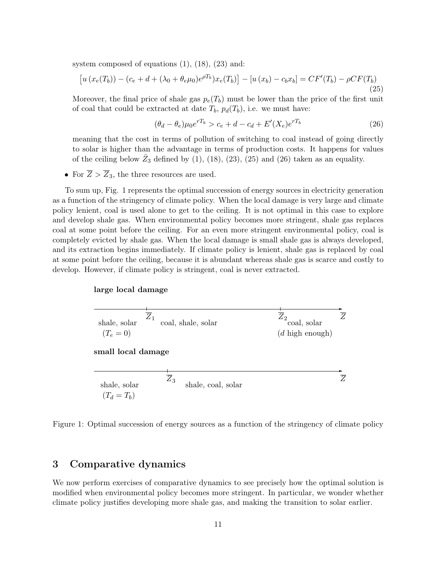system composed of equations (1), (18), (23) and:

$$
[u(x_e(T_b)) - (c_e + d + (\lambda_0 + \theta_e \mu_0)e^{\rho T_b})x_e(T_b)] - [u(x_b) - c_b x_b] = CF'(T_b) - \rho CF(T_b)
$$
\n(25)

Moreover, the final price of shale gas  $p_e(T_b)$  must be lower than the price of the first unit of coal that could be extracted at date  $T_b$ ,  $p_d(T_b)$ , i.e. we must have:

$$
(\theta_d - \theta_e)\mu_0 e^{rT_b} > c_e + d - c_d + E'(X_e)e^{rT_b}
$$
\n(26)

meaning that the cost in terms of pollution of switching to coal instead of going directly to solar is higher than the advantage in terms of production costs. It happens for values of the ceiling below  $\bar{Z}_3$  defined by (1), (18), (23), (25) and (26) taken as an equality.

• For  $\overline{Z} > \overline{Z}_3$ , the three resources are used.

To sum up, Fig. 1 represents the optimal succession of energy sources in electricity generation as a function of the stringency of climate policy. When the local damage is very large and climate policy lenient, coal is used alone to get to the ceiling. It is not optimal in this case to explore and develop shale gas. When environmental policy becomes more stringent, shale gas replaces coal at some point before the ceiling. For an even more stringent environmental policy, coal is completely evicted by shale gas. When the local damage is small shale gas is always developed, and its extraction begins immediately. If climate policy is lenient, shale gas is replaced by coal at some point before the ceiling, because it is abundant whereas shale gas is scarce and costly to develop. However, if climate policy is stringent, coal is never extracted.



Figure 1: Optimal succession of energy sources as a function of the stringency of climate policy

### 3 Comparative dynamics

We now perform exercises of comparative dynamics to see precisely how the optimal solution is modified when environmental policy becomes more stringent. In particular, we wonder whether climate policy justifies developing more shale gas, and making the transition to solar earlier.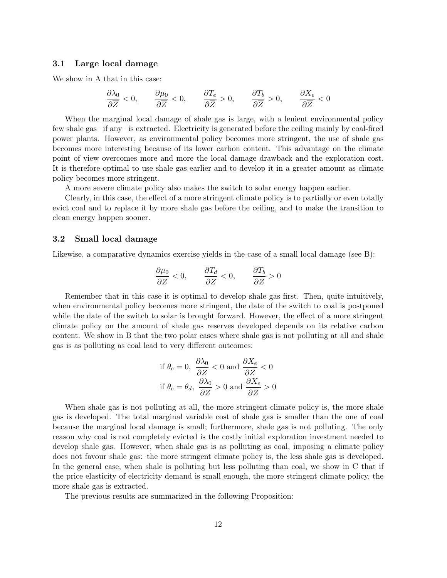### 3.1 Large local damage

We show in A that in this case:

$$
\frac{\partial \lambda_0}{\partial \overline{Z}} < 0, \qquad \frac{\partial \mu_0}{\partial \overline{Z}} < 0, \qquad \frac{\partial T_e}{\partial \overline{Z}} > 0, \qquad \frac{\partial T_b}{\partial \overline{Z}} > 0, \qquad \frac{\partial X_e}{\partial \overline{Z}} < 0
$$

When the marginal local damage of shale gas is large, with a lenient environmental policy few shale gas –if any– is extracted. Electricity is generated before the ceiling mainly by coal-fired power plants. However, as environmental policy becomes more stringent, the use of shale gas becomes more interesting because of its lower carbon content. This advantage on the climate point of view overcomes more and more the local damage drawback and the exploration cost. It is therefore optimal to use shale gas earlier and to develop it in a greater amount as climate policy becomes more stringent.

A more severe climate policy also makes the switch to solar energy happen earlier.

Clearly, in this case, the effect of a more stringent climate policy is to partially or even totally evict coal and to replace it by more shale gas before the ceiling, and to make the transition to clean energy happen sooner.

### 3.2 Small local damage

Likewise, a comparative dynamics exercise yields in the case of a small local damage (see B):

$$
\frac{\partial \mu_0}{\partial \overline{Z}} < 0, \qquad \frac{\partial T_d}{\partial \overline{Z}} < 0, \qquad \frac{\partial T_b}{\partial \overline{Z}} > 0
$$

Remember that in this case it is optimal to develop shale gas first. Then, quite intuitively, when environmental policy becomes more stringent, the date of the switch to coal is postponed while the date of the switch to solar is brought forward. However, the effect of a more stringent climate policy on the amount of shale gas reserves developed depends on its relative carbon content. We show in B that the two polar cases where shale gas is not polluting at all and shale gas is as polluting as coal lead to very different outcomes:

$$
\text{if } \theta_e = 0, \ \frac{\partial \lambda_0}{\partial \overline{Z}} < 0 \text{ and } \frac{\partial X_e}{\partial \overline{Z}} < 0
$$
\n
$$
\text{if } \theta_e = \theta_d, \ \frac{\partial \lambda_0}{\partial \overline{Z}} > 0 \text{ and } \frac{\partial X_e}{\partial \overline{Z}} > 0
$$

When shale gas is not polluting at all, the more stringent climate policy is, the more shale gas is developed. The total marginal variable cost of shale gas is smaller than the one of coal because the marginal local damage is small; furthermore, shale gas is not polluting. The only reason why coal is not completely evicted is the costly initial exploration investment needed to develop shale gas. However, when shale gas is as polluting as coal, imposing a climate policy does not favour shale gas: the more stringent climate policy is, the less shale gas is developed. In the general case, when shale is polluting but less polluting than coal, we show in C that if the price elasticity of electricity demand is small enough, the more stringent climate policy, the more shale gas is extracted.

The previous results are summarized in the following Proposition: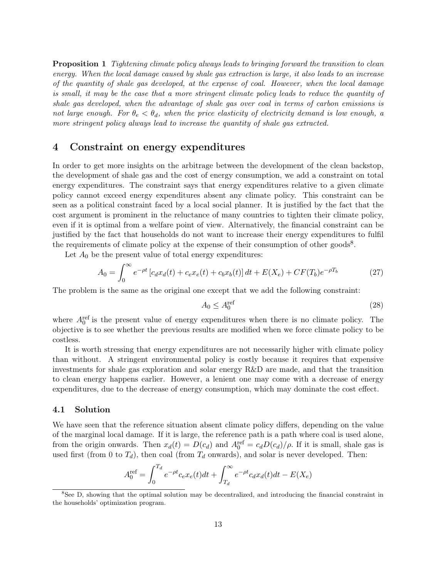Proposition 1 Tightening climate policy always leads to bringing forward the transition to clean energy. When the local damage caused by shale gas extraction is large, it also leads to an increase of the quantity of shale gas developed, at the expense of coal. However, when the local damage is small, it may be the case that a more stringent climate policy leads to reduce the quantity of shale gas developed, when the advantage of shale gas over coal in terms of carbon emissions is not large enough. For  $\theta_e < \theta_d$ , when the price elasticity of electricity demand is low enough, a more stringent policy always lead to increase the quantity of shale gas extracted.

### 4 Constraint on energy expenditures

In order to get more insights on the arbitrage between the development of the clean backstop, the development of shale gas and the cost of energy consumption, we add a constraint on total energy expenditures. The constraint says that energy expenditures relative to a given climate policy cannot exceed energy expenditures absent any climate policy. This constraint can be seen as a political constraint faced by a local social planner. It is justified by the fact that the cost argument is prominent in the reluctance of many countries to tighten their climate policy, even if it is optimal from a welfare point of view. Alternatively, the financial constraint can be justified by the fact that households do not want to increase their energy expenditures to fulfil the requirements of climate policy at the expense of their consumption of other goods<sup>8</sup>.

Let  $A_0$  be the present value of total energy expenditures:

$$
A_0 = \int_0^\infty e^{-\rho t} \left[ c_d x_d(t) + c_e x_e(t) + c_b x_b(t) \right] dt + E(X_e) + C F(T_b) e^{-\rho T_b}
$$
 (27)

The problem is the same as the original one except that we add the following constraint:

$$
A_0 \le A_0^{\text{ref}} \tag{28}
$$

where  $A_0^{\text{ref}}$  is the present value of energy expenditures when there is no climate policy. The objective is to see whether the previous results are modified when we force climate policy to be costless.

It is worth stressing that energy expenditures are not necessarily higher with climate policy than without. A stringent environmental policy is costly because it requires that expensive investments for shale gas exploration and solar energy R&D are made, and that the transition to clean energy happens earlier. However, a lenient one may come with a decrease of energy expenditures, due to the decrease of energy consumption, which may dominate the cost effect.

### 4.1 Solution

We have seen that the reference situation absent climate policy differs, depending on the value of the marginal local damage. If it is large, the reference path is a path where coal is used alone, from the origin onwards. Then  $x_d(t) = D(c_d)$  and  $A_0^{\text{ref}} = c_d D(c_d)/\rho$ . If it is small, shale gas is used first (from 0 to  $T_d$ ), then coal (from  $T_d$  onwards), and solar is never developed. Then:

$$
A_0^{\text{ref}} = \int_0^{T_d} e^{-\rho t} c_e x_e(t) dt + \int_{T_d}^{\infty} e^{-\rho t} c_d x_d(t) dt - E(X_e)
$$

<sup>8</sup>See D, showing that the optimal solution may be decentralized, and introducing the financial constraint in the households' optimization program.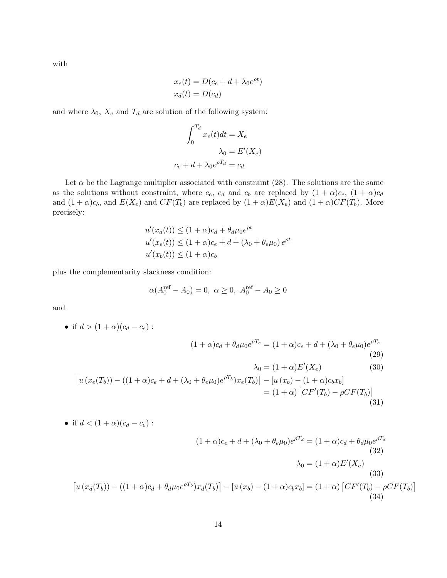with

$$
x_e(t) = D(c_e + d + \lambda_0 e^{\rho t})
$$
  

$$
x_d(t) = D(c_d)
$$

and where  $\lambda_0$ ,  $X_e$  and  $T_d$  are solution of the following system:

$$
\int_0^{T_d} x_e(t)dt = X_e
$$

$$
\lambda_0 = E'(X_e)
$$

$$
c_e + d + \lambda_0 e^{\rho T_d} = c_d
$$

Let  $\alpha$  be the Lagrange multiplier associated with constraint (28). The solutions are the same as the solutions without constraint, where  $c_e$ ,  $c_d$  and  $c_b$  are replaced by  $(1 + \alpha)c_e$ ,  $(1 + \alpha)c_d$ and  $(1+\alpha)c_b$ , and  $E(X_e)$  and  $CF(T_b)$  are replaced by  $(1+\alpha)E(X_e)$  and  $(1+\alpha)CF(T_b)$ . More precisely:

$$
u'(x_d(t)) \le (1+\alpha)c_d + \theta_d \mu_0 e^{\rho t}
$$
  

$$
u'(x_e(t)) \le (1+\alpha)c_e + d + (\lambda_0 + \theta_e \mu_0) e^{\rho t}
$$
  

$$
u'(x_b(t)) \le (1+\alpha)c_b
$$

plus the complementarity slackness condition:

$$
\alpha(A_0^{\text{ref}} - A_0) = 0, \ \alpha \ge 0, \ A_0^{\text{ref}} - A_0 \ge 0
$$

and

• if 
$$
d > (1 + \alpha)(c_d - c_e)
$$
:  
\n
$$
(1 + \alpha)c_d + \theta_d \mu_0 e^{\rho T_e} = (1 + \alpha)c_e + d + (\lambda_0 + \theta_e \mu_0)e^{\rho T_e}
$$
\n
$$
\lambda_0 = (1 + \alpha)E'(X_e)
$$
\n
$$
[u(x_e(T_b)) - ((1 + \alpha)c_e + d + (\lambda_0 + \theta_e \mu_0)e^{\rho T_b})x_e(T_b)] - [u(x_b) - (1 + \alpha)c_bx_b]
$$
\n
$$
= (1 + \alpha) [CF'(T_b) - \rho CF(T_b)]
$$
\n(31)

• if 
$$
d < (1 + \alpha)(c_d - c_e)
$$
:  
\n
$$
(1 + \alpha)c_e + d + (\lambda_0 + \theta_e \mu_0)e^{\rho T_d} = (1 + \alpha)c_d + \theta_d \mu_0 e^{\rho T_d}
$$
\n(32)  
\n
$$
\lambda_0 = (1 + \alpha)E'(X_e)
$$
\n(33)  
\n
$$
[u(x_d(T_b)) - ((1 + \alpha)c_d + \theta_d \mu_0 e^{\rho T_b})x_d(T_b)] - [u(x_b) - (1 + \alpha)c_b x_b] = (1 + \alpha) [CF'(T_b) - \rho CF(T_b)]
$$
\n(34)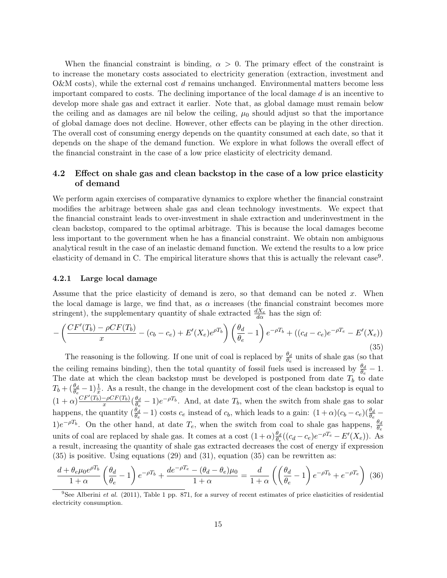When the financial constraint is binding,  $\alpha > 0$ . The primary effect of the constraint is to increase the monetary costs associated to electricity generation (extraction, investment and  $O&M$  costs), while the external cost d remains unchanged. Environmental matters become less important compared to costs. The declining importance of the local damage  $d$  is an incentive to develop more shale gas and extract it earlier. Note that, as global damage must remain below the ceiling and as damages are nil below the ceiling,  $\mu_0$  should adjust so that the importance of global damage does not decline. However, other effects can be playing in the other direction. The overall cost of consuming energy depends on the quantity consumed at each date, so that it depends on the shape of the demand function. We explore in what follows the overall effect of the financial constraint in the case of a low price elasticity of electricity demand.

### 4.2 Effect on shale gas and clean backstop in the case of a low price elasticity of demand

We perform again exercises of comparative dynamics to explore whether the financial constraint modifies the arbitrage between shale gas and clean technology investments. We expect that the financial constraint leads to over-investment in shale extraction and underinvestment in the clean backstop, compared to the optimal arbitrage. This is because the local damages become less important to the government when he has a financial constraint. We obtain non ambiguous analytical result in the case of an inelastic demand function. We extend the results to a low price elasticity of demand in C. The empirical literature shows that this is actually the relevant case<sup>9</sup>.

#### 4.2.1 Large local damage

Assume that the price elasticity of demand is zero, so that demand can be noted x. When the local damage is large, we find that, as  $\alpha$  increases (the financial constraint becomes more stringent), the supplementary quantity of shale extracted  $\frac{dX_e}{d\alpha}$  has the sign of:

$$
-\left(\frac{CF'(T_b) - \rho CF(T_b)}{x} - (c_b - c_e) + E'(X_e)e^{\rho T_b}\right)\left(\frac{\theta_d}{\theta_e} - 1\right)e^{-\rho T_b} + ((c_d - c_e)e^{-\rho T_e} - E'(X_e))
$$
\n(35)

The reasoning is the following. If one unit of coal is replaced by  $\frac{\theta_d}{\theta_e}$  units of shale gas (so that the ceiling remains binding), then the total quantity of fossil fuels used is increased by  $\frac{\theta_d}{\theta_e} - 1$ . The date at which the clean backstop must be developed is postponed from date  $T_b$  to date  $T_b + (\frac{\theta_d}{\theta_e} - 1)^{\frac{1}{x}}$ . As a result, the change in the development cost of the clean backstop is equal to  $(1+\alpha)\frac{CF'(T_b)-\rho CF(T_b)}{r}$  $\frac{-\rho CF(T_b)}{x}(\frac{\theta_d}{\theta_e}$  $\frac{\theta_d}{\theta_e} - 1$ ) $e^{-\rho T_b}$ . And, at date  $T_b$ , when the switch from shale gas to solar happens, the quantity  $\left(\frac{\theta_d}{\theta}\right)$  $\frac{\theta_d}{\theta_e} - 1$ ) costs  $c_e$  instead of  $c_b$ , which leads to a gain:  $(1 + \alpha)(c_b - c_e)(\frac{\theta_d}{\theta_e} 1)e^{-\rho T_b}$ . On the other hand, at date  $T_e$ , when the switch from coal to shale gas happens,  $\frac{\theta_d}{\theta_e}$ units of coal are replaced by shale gas. It comes at a cost  $(1+\alpha)\frac{\theta_d}{\theta}$  $\frac{\theta_d}{\theta_e}((c_d-c_e)e^{-\rho T_e}-E'(X_e)).$  As a result, increasing the quantity of shale gas extracted decreases the cost of energy if expression  $(35)$  is positive. Using equations  $(29)$  and  $(31)$ , equation  $(35)$  can be rewritten as:

$$
\frac{d + \theta_e \mu_0 e^{\rho T_b}}{1 + \alpha} \left( \frac{\theta_d}{\theta_e} - 1 \right) e^{-\rho T_b} + \frac{d e^{-\rho T_e} - (\theta_d - \theta_e) \mu_0}{1 + \alpha} = \frac{d}{1 + \alpha} \left( \left( \frac{\theta_d}{\theta_e} - 1 \right) e^{-\rho T_b} + e^{-\rho T_e} \right) (36)
$$

<sup>&</sup>lt;sup>9</sup>See Alberini *et al.* (2011), Table 1 pp. 871, for a survey of recent estimates of price elasticities of residential electricity consumption.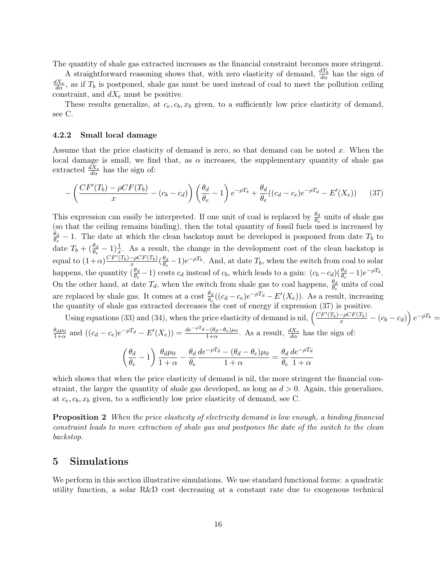The quantity of shale gas extracted increases as the financial constraint becomes more stringent.

A straightforward reasoning shows that, with zero elasticity of demand,  $\frac{dT_b}{d\alpha}$  has the sign of  $\frac{dX_e}{d\alpha}$ , as if  $T_b$  is postponed, shale gas must be used instead of coal to meet the pollution ceiling constraint, and  $dX_e$  must be positive.

These results generalize, at  $c_e$ ,  $c_b$ ,  $x_b$  given, to a sufficiently low price elasticity of demand, see C.

#### 4.2.2 Small local damage

Assume that the price elasticity of demand is zero, so that demand can be noted x. When the local damage is small, we find that, as  $\alpha$  increases, the supplementary quantity of shale gas extracted  $\frac{dX_e}{d\alpha}$  has the sign of:

$$
-\left(\frac{CF'(T_b)-\rho CF(T_b)}{x}-(c_b-c_d)\right)\left(\frac{\theta_d}{\theta_e}-1\right)e^{-\rho T_b}+\frac{\theta_d}{\theta_e}((c_d-c_e)e^{-\rho T_d}-E'(X_e))\tag{37}
$$

This expression can easily be interpreted. If one unit of coal is replaced by  $\frac{\theta_d}{\theta_e}$  units of shale gas (so that the ceiling remains binding), then the total quantity of fossil fuels used is increased by  $\theta_d$  $\frac{\theta_d}{\theta_e}$  – 1. The date at which the clean backstop must be developed is posponed from date  $T_b$  to date  $T_b + (\frac{\theta_d}{\theta_e} - 1)^{\frac{1}{x}}$ . As a result, the change in the development cost of the clean backstop is equal to  $(1+\alpha)\frac{CF'(T_b)-\rho CF(T_b)}{T}$  $\frac{-\rho CF(T_b)}{x}(\frac{\theta_d}{\theta_e}$  $\frac{\theta_d}{\theta_e} - 1$ ) $e^{-\rho T_b}$ . And, at date  $T_b$ , when the switch from coal to solar happens, the quantity  $\left(\frac{\theta_d}{\theta}\right)$  $\frac{\theta_d}{\theta_e}$  – 1) costs  $c_d$  instead of  $c_b$ , which leads to a gain:  $(c_b - c_d)(\frac{\theta_d}{\theta_e} - 1)e^{-\rho T_b}$ . On the other hand, at date  $T_d$ , when the switch from shale gas to coal happens,  $\frac{\theta_d}{\theta_e}$  units of coal are replaced by shale gas. It comes at a cost  $\frac{\theta_d}{\theta_e}((c_d - c_e)e^{-\rho T_d} - E'(X_e))$ . As a result, increasing the quantity of shale gas extracted decreases the cost of energy if expression (37) is positive.

Using equations (33) and (34), when the price elasticity of demand is nil,  $\left(\frac{CF'(T_b)-\rho CF(T_b)}{x}-(c_b-c_d)\right)e^{-\rho T_b}=$  $\frac{\theta_d\mu_0}{1+\alpha}$  and  $((c_d - c_e)e^{-\rho T_d} - E'(X_e)) = \frac{de^{-\rho T_d} - (\theta_d - \theta_e)\mu_0}{1+\alpha}$ . As a result,  $\frac{dX_e}{d\alpha}$  has the sign of:

$$
\left(\frac{\theta_d}{\theta_e}-1\right)\frac{\theta_d\mu_0}{1+\alpha}-\frac{\theta_d}{\theta_e}\frac{de^{-\rho T_d}-(\theta_d-\theta_e)\mu_0}{1+\alpha}=\frac{\theta_d}{\theta_e}\frac{de^{-\rho T_d}}{1+\alpha}
$$

which shows that when the price elasticity of demand is nil, the more stringent the financial constraint, the larger the quantity of shale gas developed, as long as  $d > 0$ . Again, this generalizes, at  $c_e$ ,  $c_b$ ,  $x_b$  given, to a sufficiently low price elasticity of demand, see C.

**Proposition 2** When the price elasticity of electricity demand is low enough, a binding financial constraint leads to more extraction of shale gas and postpones the date of the switch to the clean backstop.

### 5 Simulations

We perform in this section illustrative simulations. We use standard functional forms: a quadratic utility function, a solar R&D cost decreasing at a constant rate due to exogenous technical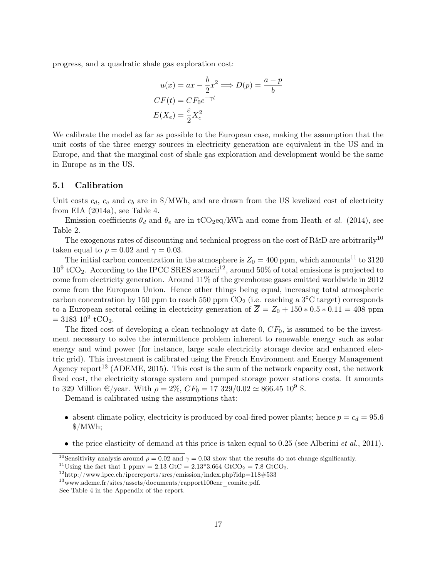progress, and a quadratic shale gas exploration cost:

$$
u(x) = ax - \frac{b}{2}x^2 \Longrightarrow D(p) = \frac{a-p}{b}
$$

$$
CF(t) = CF_0e^{-\gamma t}
$$

$$
E(X_e) = \frac{\varepsilon}{2}X_e^2
$$

We calibrate the model as far as possible to the European case, making the assumption that the unit costs of the three energy sources in electricity generation are equivalent in the US and in Europe, and that the marginal cost of shale gas exploration and development would be the same in Europe as in the US.

### 5.1 Calibration

Unit costs  $c_d$ ,  $c_e$  and  $c_b$  are in \$/MWh, and are drawn from the US levelized cost of electricity from EIA (2014a), see Table 4.

Emission coefficients  $\theta_d$  and  $\theta_e$  are in tCO<sub>2</sub>eq/kWh and come from Heath *et al.* (2014), see Table 2.

The exogenous rates of discounting and technical progress on the cost of R&D are arbitrarily<sup>10</sup> taken equal to  $\rho = 0.02$  and  $\gamma = 0.03$ .

The initial carbon concentration in the atmosphere is  $Z_0 = 400$  ppm, which amounts<sup>11</sup> to 3120  $10^9$  tCO<sub>2</sub>. According to the IPCC SRES scenarii<sup>12</sup>, around 50% of total emissions is projected to come from electricity generation. Around 11% of the greenhouse gases emitted worldwide in 2012 come from the European Union. Hence other things being equal, increasing total atmospheric carbon concentration by 150 ppm to reach 550 ppm  $CO<sub>2</sub>$  (i.e. reaching a 3<sup>°</sup>C target) corresponds to a European sectoral ceiling in electricity generation of  $\overline{Z} = Z_0 + 150 * 0.5 * 0.11 = 408$  ppm  $= 3183 \; 10^9 \; \text{tCO}_2.$ 

The fixed cost of developing a clean technology at date 0,  $CF_0$ , is assumed to be the investment necessary to solve the intermittence problem inherent to renewable energy such as solar energy and wind power (for instance, large scale electricity storage device and enhanced electric grid). This investment is calibrated using the French Environment and Energy Management Agency report<sup>13</sup> (ADEME, 2015). This cost is the sum of the network capacity cost, the network fixed cost, the electricity storage system and pumped storage power stations costs. It amounts to 329 Million  $\epsilon$ /year. With  $\rho = 2\%$ ,  $CF_0 = 17\ 329/0.02 \simeq 866.45\ 10^9$  \$.

Demand is calibrated using the assumptions that:

- absent climate policy, electricity is produced by coal-fired power plants; hence  $p = c_d = 95.6$ \$/MWh;
- the price elasticity of demand at this price is taken equal to  $0.25$  (see Alberini *et al.*, 2011).

<sup>&</sup>lt;sup>10</sup>Sensitivity analysis around  $\rho = 0.02$  and  $\gamma = 0.03$  show that the results do not change significantly.

<sup>&</sup>lt;sup>11</sup>Using the fact that 1 ppmv = 2.13 GtC =  $2.13*3.664$  GtCO<sub>2</sub> = 7.8 GtCO<sub>2</sub>.

 $12$ http://www.ipcc.ch/ipccreports/sres/emission/index.php?idp=118#533

 $^{13}$ www.ademe.fr/sites/assets/documents/rapport100enr\_comite.pdf.

See Table 4 in the Appendix of the report.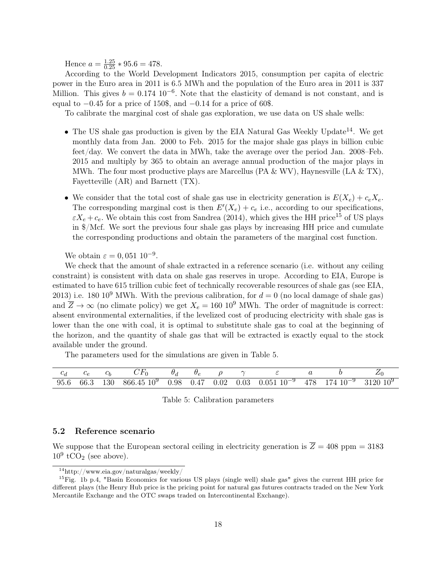Hence  $a = \frac{1.25}{0.25} * 95.6 = 478.$ 

According to the World Development Indicators 2015, consumption per capita of electric power in the Euro area in 2011 is 6.5 MWh and the population of the Euro area in 2011 is 337 Million. This gives  $b = 0.174 \, 10^{-6}$ . Note that the elasticity of demand is not constant, and is equal to  $-0.45$  for a price of 150\$, and  $-0.14$  for a price of 60\$.

To calibrate the marginal cost of shale gas exploration, we use data on US shale wells:

- $\bullet$  The US shale gas production is given by the EIA Natural Gas Weekly Update<sup>14</sup>. We get monthly data from Jan. 2000 to Feb. 2015 for the major shale gas plays in billion cubic feet/day. We convert the data in MWh, take the average over the period Jan. 2008–Feb. 2015 and multiply by 365 to obtain an average annual production of the major plays in MWh. The four most productive plays are Marcellus (PA & WV), Haynesville (LA  $\&$  TX), Fayetteville (AR) and Barnett (TX).
- We consider that the total cost of shale gas use in electricity generation is  $E(X_e) + c_e X_e$ . The corresponding marginal cost is then  $E'(X_e) + c_e$  i.e., according to our specifications,  $\varepsilon X_e + c_e$ . We obtain this cost from Sandrea (2014), which gives the HH price<sup>15</sup> of US plays in \$/Mcf. We sort the previous four shale gas plays by increasing HH price and cumulate the corresponding productions and obtain the parameters of the marginal cost function.

We obtain  $\varepsilon = 0,051$   $10^{-9}$ .

We check that the amount of shale extracted in a reference scenario (i.e. without any ceiling constraint) is consistent with data on shale gas reserves in urope. According to EIA, Europe is estimated to have 615 trillion cubic feet of technically recoverable resources of shale gas (see EIA, 2013) i.e. 180 10<sup>9</sup> MWh. With the previous calibration, for  $d = 0$  (no local damage of shale gas) and  $\overline{Z} \to \infty$  (no climate policy) we get  $X_e = 160 \times 10^9$  MWh. The order of magnitude is correct: absent environmental externalities, if the levelized cost of producing electricity with shale gas is lower than the one with coal, it is optimal to substitute shale gas to coal at the beginning of the horizon, and the quantity of shale gas that will be extracted is exactly equal to the stock available under the ground.

The parameters used for the simulations are given in Table 5.

|               |  |  |  |                                                                                    |  | $\overline{ }$ |
|---------------|--|--|--|------------------------------------------------------------------------------------|--|----------------|
| 95.6 66.3 130 |  |  |  | $866.45\ 10^9$ 0.98 0.47 0.02 0.03 0.051 10 <sup>-9</sup> 478 174 10 <sup>-9</sup> |  | $3120~10^9$    |

Table 5: Calibration parameters

### 5.2 Reference scenario

We suppose that the European sectoral ceiling in electricity generation is  $\overline{Z} = 408$  ppm = 3183  $10^9$  tCO<sub>2</sub> (see above).

<sup>14</sup>http://www.eia.gov/naturalgas/weekly/

<sup>&</sup>lt;sup>15</sup>Fig. 1b p.4, "Basin Economics for various US plays (single well) shale gas" gives the current HH price for different plays (the Henry Hub price is the pricing point for natural gas futures contracts traded on the New York Mercantile Exchange and the OTC swaps traded on Intercontinental Exchange).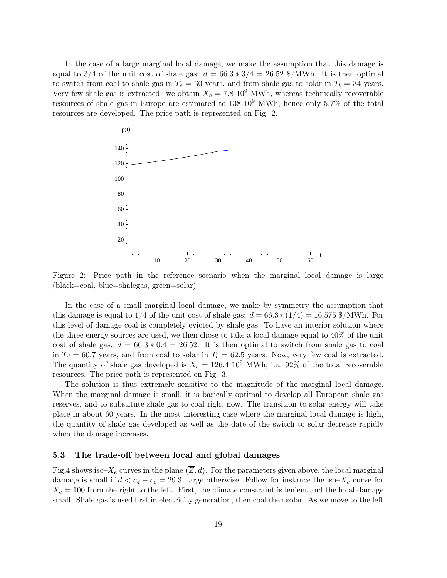In the case of a large marginal local damage, we make the assumption that this damage is equal to 3/4 of the unit cost of shale gas:  $d = 66.3 * 3/4 = 26.52$  \$/MWh. It is then optimal to switch from coal to shale gas in  $T_e = 30$  years, and from shale gas to solar in  $T_b = 34$  years. Very few shale gas is extracted: we obtain  $X_e = 7.8 \times 10^9$  MWh, whereas technically recoverable resources of shale gas in Europe are estimated to  $138 \, 10^9$  MWh; hence only  $5.7\%$  of the total resources are developed. The price path is represented on Fig. 2.



Figure 2: Price path in the reference scenario when the marginal local damage is large (black=coal, blue=shalegas, green=solar)

In the case of a small marginal local damage, we make by symmetry the assumption that this damage is equal to  $1/4$  of the unit cost of shale gas:  $d = 66.3 * (1/4) = 16.575$  \$/MWh. For this level of damage coal is completely evicted by shale gas. To have an interior solution where the three energy sources are used, we then chose to take a local damage equal to 40% of the unit cost of shale gas:  $d = 66.3 * 0.4 = 26.52$ . It is then optimal to switch from shale gas to coal in  $T_d = 60.7$  years, and from coal to solar in  $T_b = 62.5$  years. Now, very few coal is extracted. The quantity of shale gas developed is  $X_e = 126.4 \, 10^9 \,$  MWh, i.e. 92% of the total recoverable resources. The price path is represented on Fig. 3.

The solution is thus extremely sensitive to the magnitude of the marginal local damage. When the marginal damage is small, it is basically optimal to develop all European shale gas reserves, and to substitute shale gas to coal right now. The transition to solar energy will take place in about 60 years. In the most interesting case where the marginal local damage is high, the quantity of shale gas developed as well as the date of the switch to solar decrease rapidly when the damage increases.

### 5.3 The trade-off between local and global damages

Fig.4 shows iso– $X_e$  curves in the plane  $(\overline{Z}, d)$ . For the parameters given above, the local marginal damage is small if  $d < c_d - c_e = 29.3$ , large otherwise. Follow for instance the iso– $X_e$  curve for  $X_e = 100$  from the right to the left. First, the climate constraint is lenient and the local damage small. Shale gas is used first in electricity generation, then coal then solar. As we move to the left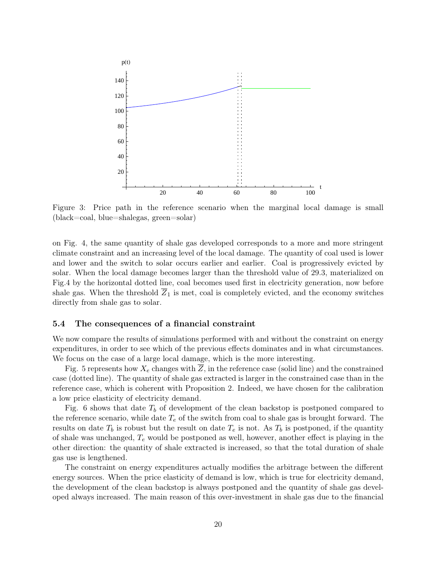

Figure 3: Price path in the reference scenario when the marginal local damage is small (black=coal, blue=shalegas, green=solar)

on Fig. 4, the same quantity of shale gas developed corresponds to a more and more stringent climate constraint and an increasing level of the local damage. The quantity of coal used is lower and lower and the switch to solar occurs earlier and earlier. Coal is progressively evicted by solar. When the local damage becomes larger than the threshold value of 29.3, materialized on Fig.4 by the horizontal dotted line, coal becomes used first in electricity generation, now before shale gas. When the threshold  $\overline{Z}_1$  is met, coal is completely evicted, and the economy switches directly from shale gas to solar.

#### 5.4 The consequences of a financial constraint

We now compare the results of simulations performed with and without the constraint on energy expenditures, in order to see which of the previous effects dominates and in what circumstances. We focus on the case of a large local damage, which is the more interesting.

Fig. 5 represents how  $X_e$  changes with  $\overline{Z}$ , in the reference case (solid line) and the constrained case (dotted line). The quantity of shale gas extracted is larger in the constrained case than in the reference case, which is coherent with Proposition 2. Indeed, we have chosen for the calibration a low price elasticity of electricity demand.

Fig. 6 shows that date  $T_b$  of development of the clean backstop is postponed compared to the reference scenario, while date  $T_e$  of the switch from coal to shale gas is brought forward. The results on date  $T_b$  is robust but the result on date  $T_e$  is not. As  $T_b$  is postponed, if the quantity of shale was unchanged,  $T_e$  would be postponed as well, however, another effect is playing in the other direction: the quantity of shale extracted is increased, so that the total duration of shale gas use is lengthened.

The constraint on energy expenditures actually modifies the arbitrage between the different energy sources. When the price elasticity of demand is low, which is true for electricity demand, the development of the clean backstop is always postponed and the quantity of shale gas developed always increased. The main reason of this over-investment in shale gas due to the financial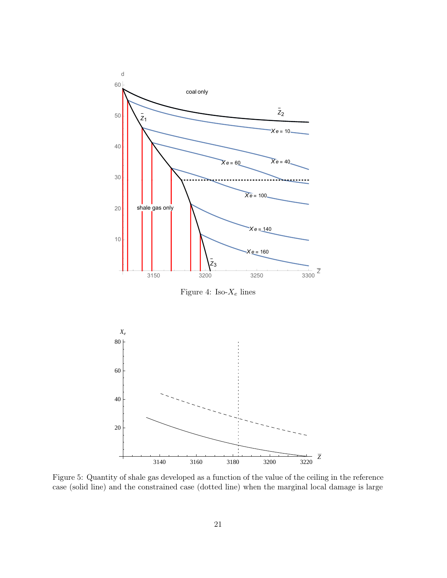

Figure 5: Quantity of shale gas developed as a function of the value of the ceiling in the reference case (solid line) and the constrained case (dotted line) when the marginal local damage is large

3140 3160 3180 3200 3220

*Z*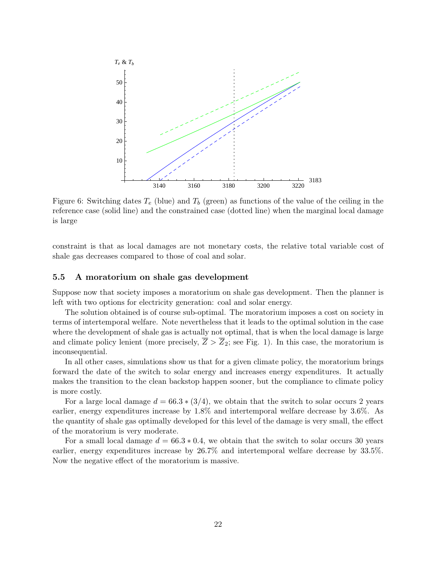

Figure 6: Switching dates  $T_e$  (blue) and  $T_b$  (green) as functions of the value of the ceiling in the reference case (solid line) and the constrained case (dotted line) when the marginal local damage is large

constraint is that as local damages are not monetary costs, the relative total variable cost of shale gas decreases compared to those of coal and solar.

### 5.5 A moratorium on shale gas development

Suppose now that society imposes a moratorium on shale gas development. Then the planner is left with two options for electricity generation: coal and solar energy.

The solution obtained is of course sub-optimal. The moratorium imposes a cost on society in terms of intertemporal welfare. Note nevertheless that it leads to the optimal solution in the case where the development of shale gas is actually not optimal, that is when the local damage is large and climate policy lenient (more precisely,  $\overline{Z} > \overline{Z}_2$ ; see Fig. 1). In this case, the moratorium is inconsequential.

In all other cases, simulations show us that for a given climate policy, the moratorium brings forward the date of the switch to solar energy and increases energy expenditures. It actually makes the transition to the clean backstop happen sooner, but the compliance to climate policy is more costly.

For a large local damage  $d = 66.3 * (3/4)$ , we obtain that the switch to solar occurs 2 years earlier, energy expenditures increase by 1.8% and intertemporal welfare decrease by 3.6%. As the quantity of shale gas optimally developed for this level of the damage is very small, the effect of the moratorium is very moderate.

For a small local damage  $d = 66.3 * 0.4$ , we obtain that the switch to solar occurs 30 years earlier, energy expenditures increase by 26.7% and intertemporal welfare decrease by 33.5%. Now the negative effect of the moratorium is massive.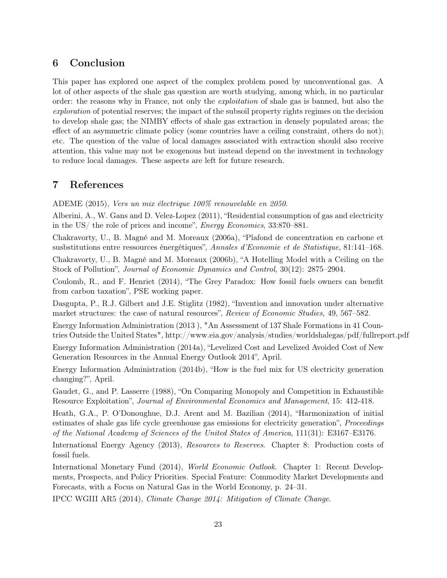### 6 Conclusion

This paper has explored one aspect of the complex problem posed by unconventional gas. A lot of other aspects of the shale gas question are worth studying, among which, in no particular order: the reasons why in France, not only the exploitation of shale gas is banned, but also the exploration of potential reserves; the impact of the subsoil property rights regimes on the decision to develop shale gas; the NIMBY effects of shale gas extraction in densely populated areas; the effect of an asymmetric climate policy (some countries have a ceiling constraint, others do not); etc. The question of the value of local damages associated with extraction should also receive attention, this value may not be exogenous but instead depend on the investment in technology to reduce local damages. These aspects are left for future research.

### 7 References

ADEME (2015), Vers un mix électrique 100% renouvelable en 2050.

Alberini, A., W. Gans and D. Velez-Lopez (2011), "Residential consumption of gas and electricity in the US/ the role of prices and income", Energy Economics, 33:870–881.

Chakravorty, U., B. Magné and M. Moreaux (2006a), "Plafond de concentration en carbone et susbstitutions entre ressources énergétiques", Annales d'Economie et de Statistique, 81:141–168.

Chakravorty, U., B. Magné and M. Moreaux (2006b), "A Hotelling Model with a Ceiling on the Stock of Pollution", Journal of Economic Dynamics and Control, 30(12): 2875–2904.

Coulomb, R., and F. Henriet (2014), "The Grey Paradox: How fossil fuels owners can benefit from carbon taxation", PSE working paper.

Dasgupta, P., R.J. Gilbert and J.E. Stiglitz (1982), "Invention and innovation under alternative market structures: the case of natural resources", Review of Economic Studies, 49, 567–582.

Energy Information Administration (2013 ), "An Assessment of 137 Shale Formations in 41 Countries Outside the United States", http://www.eia.gov/analysis/studies/worldshalegas/pdf/fullreport.pdf Energy Information Administration (2014a), "Levelized Cost and Levelized Avoided Cost of New Generation Resources in the Annual Energy Outlook 2014", April.

Energy Information Administration (2014b), "How is the fuel mix for US electricity generation changing?", April.

Gaudet, G., and P. Lasserre (1988), "On Comparing Monopoly and Competition in Exhaustible Resource Exploitation", Journal of Environmental Economics and Management, 15: 412-418.

Heath, G.A., P. O'Donoughue, D.J. Arent and M. Bazilian (2014), "Harmonization of initial estimates of shale gas life cycle greenhouse gas emissions for electricity generation", Proceedings of the National Academy of Sciences of the United States of America, 111(31): E3167–E3176.

International Energy Agency (2013), Resources to Reserves. Chapter 8: Production costs of fossil fuels.

International Monetary Fund (2014), World Economic Outlook. Chapter 1: Recent Developments, Prospects, and Policy Priorities. Special Feature: Commodity Market Developments and Forecasts, with a Focus on Natural Gas in the World Economy, p. 24–31.

IPCC WGIII AR5 (2014), Climate Change 2014: Mitigation of Climate Change.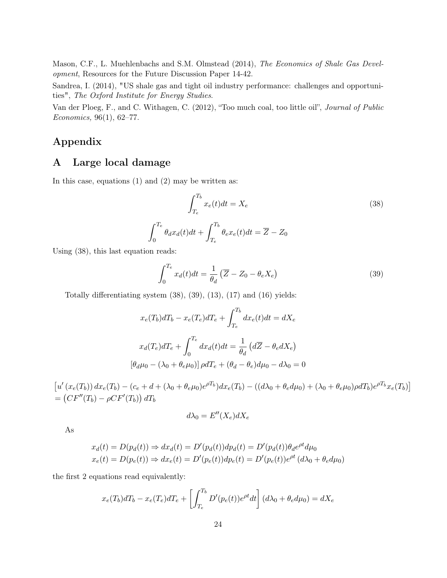Mason, C.F., L. Muehlenbachs and S.M. Olmstead (2014), The Economics of Shale Gas Development, Resources for the Future Discussion Paper 14-42.

Sandrea, I. (2014), "US shale gas and tight oil industry performance: challenges and opportunities", The Oxford Institute for Energy Studies.

Van der Ploeg, F., and C. Withagen, C. (2012), "Too much coal, too little oil", Journal of Public Economics, 96(1), 62–77.

## Appendix

## A Large local damage

In this case, equations (1) and (2) may be written as:

$$
\int_{T_e}^{T_b} x_e(t)dt = X_e
$$
\n
$$
\int_0^{T_e} \theta_d x_d(t)dt + \int_{T_e}^{T_b} \theta_e x_e(t)dt = \overline{Z} - Z_0
$$
\n(38)

Using (38), this last equation reads:

$$
\int_0^{T_e} x_d(t)dt = \frac{1}{\theta_d} \left( \overline{Z} - Z_0 - \theta_e X_e \right) \tag{39}
$$

Totally differentiating system  $(38)$ ,  $(39)$ ,  $(13)$ ,  $(17)$  and  $(16)$  yields:

$$
x_e(T_b)dT_b - x_e(T_e)dT_e + \int_{T_e}^{T_b} dx_e(t)dt = dX_e
$$

$$
x_d(T_e)dT_e + \int_0^{T_e} dx_d(t)dt = \frac{1}{\theta_d} (d\overline{Z} - \theta_e dX_e)
$$

$$
[\theta_d\mu_0 - (\lambda_0 + \theta_e\mu_0)] \rho dT_e + (\theta_d - \theta_e)d\mu_0 - d\lambda_0 = 0
$$

 $[u'(x_e(T_b)) dx_e(T_b) - (c_e + d + (\lambda_0 + \theta_e \mu_0)e^{\rho T_b}) dx_e(T_b) - ((d\lambda_0 + \theta_e d\mu_0) + (\lambda_0 + \theta_e \mu_0)\rho dT_b)e^{\rho T_b}x_e(T_b)]$  $= (CF''(T_b) - \rho CF'(T_b)) dT_b$ 

$$
d\lambda_0 = E''(X_e) dX_e
$$

As

$$
x_d(t) = D(p_d(t)) \Rightarrow dx_d(t) = D'(p_d(t))dp_d(t) = D'(p_d(t))\theta_d e^{\rho t}d\mu_0
$$
  

$$
x_e(t) = D(p_e(t)) \Rightarrow dx_e(t) = D'(p_e(t))dp_e(t) = D'(p_e(t))e^{\rho t}(d\lambda_0 + \theta_e d\mu_0)
$$

the first 2 equations read equivalently:

$$
x_e(T_b)dT_b - x_e(T_e)dT_e + \left[\int_{T_e}^{T_b} D'(p_e(t))e^{\rho t}dt\right](d\lambda_0 + \theta_e d\mu_0) = dX_e
$$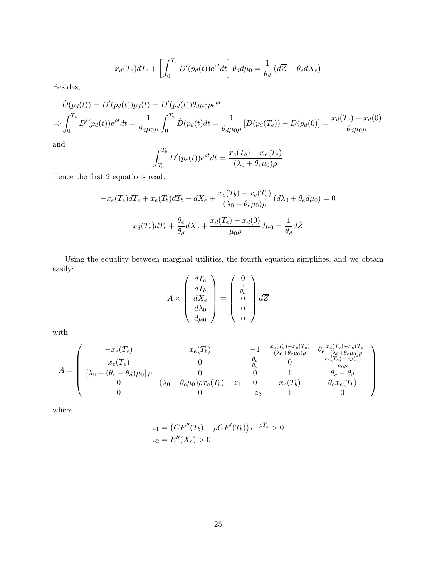$$
x_d(T_e)dT_e + \left[\int_0^{T_e} D'(p_d(t))e^{\rho t}dt\right]\theta_d d\mu_0 = \frac{1}{\theta_d} \left(d\overline{Z} - \theta_e dX_e\right)
$$

Besides,

$$
\dot{D}(p_d(t)) = D'(p_d(t))\dot{p}_d(t) = D'(p_d(t))\theta_d \mu_0 \rho e^{\rho t} \n\Rightarrow \int_0^{T_e} D'(p_d(t))e^{\rho t} dt = \frac{1}{\theta_d \mu_0 \rho} \int_0^{T_e} \dot{D}(p_d(t)dt) = \frac{1}{\theta_d \mu_0 \rho} \left[ D(p_d(T_e)) - D(p_d(0)) \right] = \frac{x_d(T_e) - x_d(0)}{\theta_d \mu_0 \rho}
$$

and

$$
\int_{T_e}^{T_b} D'(p_e(t)) e^{\rho t} dt = \frac{x_e(T_b) - x_e(T_e)}{(\lambda_0 + \theta_e \mu_0)\rho}
$$

Hence the first 2 equations read:

$$
-x_e(T_e)dT_e + x_e(T_b)dT_b - dX_e + \frac{x_e(T_b) - x_e(T_e)}{(\lambda_0 + \theta_e \mu_0)\rho} (d\lambda_0 + \theta_e d\mu_0) = 0
$$
  

$$
x_d(T_e)dT_e + \frac{\theta_e}{\theta_d}dX_e + \frac{x_d(T_e) - x_d(0)}{\mu_0\rho}d\mu_0 = \frac{1}{\theta_d}d\bar{Z}
$$

Using the equality between marginal utilities, the fourth equation simplifies, and we obtain easily:

$$
A \times \begin{pmatrix} dT_e \\ dT_b \\ dX_e \\ d\lambda_0 \\ d\mu_0 \end{pmatrix} = \begin{pmatrix} 0 \\ \frac{1}{\theta_d} \\ 0 \\ 0 \\ 0 \end{pmatrix} d\overline{Z}
$$

with

$$
A = \begin{pmatrix} -x_e(T_e) & x_e(T_b) & -1 & \frac{x_e(T_b) - x_e(T_e)}{(\lambda_0 + \theta_e \mu_0)\rho} & \theta_e \frac{x_e(T_b) - x_e(T_e)}{(\lambda_0 + \theta_e \mu_0)\rho} \\ x_e(T_e) & 0 & \frac{\theta_e}{\theta_d} & 0 & \frac{x_e(T_e) - x_d(0)}{\mu_0\rho} \\ [\lambda_0 + (\theta_e - \theta_d)\mu_0] \rho & 0 & 0 & 1 & \theta_e - \theta_d \\ 0 & (\lambda_0 + \theta_e \mu_0)\rho x_e(T_b) + z_1 & 0 & x_e(T_b) & \theta_e x_e(T_b) \\ 0 & 0 & -z_2 & 1 & 0 \end{pmatrix}
$$

where

$$
z_1 = (CF''(T_b) - \rho CF'(T_b)) e^{-\rho T_b} > 0
$$
  

$$
z_2 = E''(X_e) > 0
$$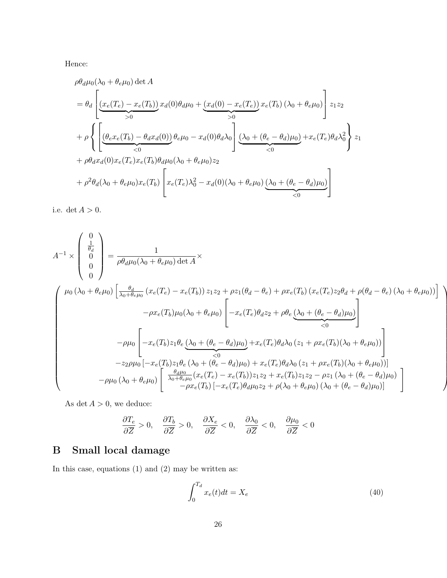Hence:

$$
\rho \theta_d \mu_0(\lambda_0 + \theta_e \mu_0) \det A
$$
\n
$$
= \theta_d \left[ \underbrace{(x_e(T_e) - x_e(T_b))}_{>0} x_d(0) \theta_d \mu_0 + \underbrace{(x_d(0) - x_e(T_e))}_{>0} x_e(T_b) (\lambda_0 + \theta_e \mu_0) \right] z_1 z_2
$$
\n
$$
+ \rho \left\{ \left[ \underbrace{(\theta_e x_e(T_b) - \theta_d x_d(0))}_{<0} \theta_e \mu_0 - x_d(0) \theta_d \lambda_0 \right] \underbrace{(\lambda_0 + (\theta_e - \theta_d) \mu_0)}_{<0} + x_e(T_e) \theta_d \lambda_0^2 \right\} z_1
$$
\n
$$
+ \rho \theta_d x_d(0) x_e(T_e) x_e(T_b) \theta_d \mu_0(\lambda_0 + \theta_e \mu_0) z_2
$$
\n
$$
+ \rho^2 \theta_d(\lambda_0 + \theta_e \mu_0) x_e(T_b) \left[ x_e(T_e) \lambda_0^2 - x_d(0) (\lambda_0 + \theta_e \mu_0) \underbrace{(\lambda_0 + (\theta_e - \theta_d) \mu_0)}_{<0} \right]
$$

i.e.  $\det A > 0.$ 

$$
A^{-1} \times \begin{pmatrix} 0 \\ \frac{1}{\theta_d} \\ 0 \\ 0 \end{pmatrix} = \frac{1}{\rho \theta_d \mu_0 (\lambda_0 + \theta_e \mu_0) \det A} \times
$$
  

$$
\begin{pmatrix} \mu_0 (\lambda_0 + \theta_e \mu_0) \left[ \frac{\theta_d}{\lambda_0 + \theta_e \mu_0} (x_e(T_e) - x_e(T_b)) z_1 z_2 + \rho z_1 (\theta_d - \theta_e) + \rho x_e(T_b) (x_e(T_e) z_2 \theta_d + \rho (\theta_d - \theta_e) (\lambda_0 + \theta_e \mu_0)) \right] \\ - \rho x_e(T_b) \mu_0 (\lambda_0 + \theta_e \mu_0) \left[ -x_e(T_e) \theta_d z_2 + \rho \theta_e \underbrace{(\lambda_0 + (\theta_e - \theta_d) \mu_0)}_{< 0} \right] \\ - \rho \mu_0 \left[ -x_e(T_b) z_1 \theta_e \underbrace{(\lambda_0 + (\theta_e - \theta_d) \mu_0)}_{< 0} + x_e(T_e) \theta_d \lambda_0 (z_1 + \rho x_e(T_b) (\lambda_0 + \theta_e \mu_0)) \right] \\ - z_2 \rho \mu_0 \left[ -x_e(T_b) z_1 \theta_e (\lambda_0 + (\theta_e - \theta_d) \mu_0) + x_e(T_e) \theta_d \lambda_0 (z_1 + \rho x_e(T_b) (\lambda_0 + \theta_e \mu_0)) \right] \\ - \rho \mu_0 (\lambda_0 + \theta_e \mu_0) \left[ \begin{array}{cc} \frac{\theta_d \mu_0}{\lambda_0 + \theta_e \mu_0} (x_e(T_e) - x_e(T_b)) z_1 z_2 + x_e(T_b) z_1 z_2 - \rho z_1 (\lambda_0 + (\theta_e - \theta_d) \mu_0) \\ - \rho x_e(T_b) \left[ -x_e(T_e) \theta_d \mu_0 z_2 + \rho (\lambda_0 + \theta_e \mu_0) (\lambda_0 + (\theta_e - \theta_d) \mu_0) \right] \end{array} \right]
$$

As  $\det A>0,$  we deduce:

$$
\frac{\partial T_e}{\partial \overline{Z}} > 0, \quad \frac{\partial T_b}{\partial \overline{Z}} > 0, \quad \frac{\partial X_e}{\partial \overline{Z}} < 0, \quad \frac{\partial \lambda_0}{\partial \overline{Z}} < 0, \quad \frac{\partial \mu_0}{\partial \overline{Z}} < 0
$$

# B Small local damage

In this case, equations (1) and (2) may be written as:

$$
\int_0^{T_d} x_e(t)dt = X_e \tag{40}
$$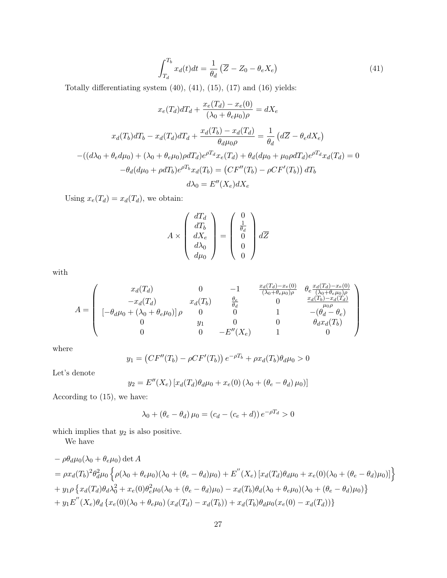$$
\int_{T_d}^{T_b} x_d(t)dt = \frac{1}{\theta_d} \left( \overline{Z} - Z_0 - \theta_e X_e \right)
$$
\n(41)

Totally differentiating system (40), (41), (15), (17) and (16) yields:

$$
x_e(T_d)dT_d + \frac{x_e(T_d) - x_e(0)}{(\lambda_0 + \theta_e \mu_0)\rho} = dX_e
$$
  

$$
x_d(T_b)dT_b - x_d(T_d)dT_d + \frac{x_d(T_b) - x_d(T_d)}{\theta_d \mu_0 \rho} = \frac{1}{\theta_d} (d\overline{Z} - \theta_e dX_e)
$$
  

$$
-( (d\lambda_0 + \theta_e d\mu_0) + (\lambda_0 + \theta_e \mu_0)\rho dT_d)e^{\rho T_d}x_e(T_d) + \theta_d (d\mu_0 + \mu_0\rho dT_d)e^{\rho T_d}x_d(T_d) = 0
$$
  

$$
-\theta_d (d\mu_0 + \rho dT_b)e^{\rho T_b}x_d(T_b) = (CF''(T_b) - \rho CF'(T_b)) dT_b
$$
  

$$
d\lambda_0 = E''(X_e)dX_e
$$

Using  $x_e(T_d) = x_d(T_d)$ , we obtain:

$$
A \times \begin{pmatrix} dT_d \\ dT_b \\ dX_e \\ d\lambda_0 \\ d\mu_0 \end{pmatrix} = \begin{pmatrix} 0 \\ \frac{1}{\theta_d} \\ 0 \\ 0 \\ 0 \end{pmatrix} d\overline{Z}
$$

with

$$
A = \begin{pmatrix} x_d(T_d) & 0 & -1 & \frac{x_d(T_d) - x_e(0)}{(\lambda_0 + \theta_e \mu_0)\rho} & \theta_e \frac{x_d(T_d) - x_e(0)}{(\lambda_0 + \theta_e \mu_0)\rho} \\ -x_d(T_d) & x_d(T_b) & \frac{\theta_e}{\theta_d} & 0 & \frac{x_d(T_b) - x_d(T_d)}{\mu_0 \rho} \\ [-\theta_d \mu_0 + (\lambda_0 + \theta_e \mu_0)] \rho & 0 & 0 & 1 & -(\theta_d - \theta_e) \\ 0 & y_1 & 0 & 0 & \theta_d x_d(T_b) \\ 0 & 0 & -E''(X_e) & 1 & 0 \end{pmatrix}
$$

where

$$
y_1 = (CF''(T_b) - \rho CF'(T_b)) e^{-\rho T_b} + \rho x_d(T_b) \theta_d \mu_0 > 0
$$

Let's denote

$$
y_2 = E''(X_e) [x_d(T_d)\theta_d\mu_0 + x_e(0) (\lambda_0 + (\theta_e - \theta_d) \mu_0)]
$$

According to (15), we have:

$$
\lambda_0 + (\theta_e - \theta_d) \mu_0 = (c_d - (c_e + d)) e^{-\rho T_d} > 0
$$

which implies that  $y_2$  is also positive.

We have

$$
- \rho \theta_d \mu_0 (\lambda_0 + \theta_e \mu_0) \det A
$$
  
=  $\rho x_d (T_b)^2 \theta_d^2 \mu_0 \left\{ \rho (\lambda_0 + \theta_e \mu_0) (\lambda_0 + (\theta_e - \theta_d) \mu_0) + E''(X_e) [x_d (T_d) \theta_d \mu_0 + x_e (0) (\lambda_0 + (\theta_e - \theta_d) \mu_0)] \right\}$   
+  $y_1 \rho \left\{ x_d (T_d) \theta_d \lambda_0^2 + x_e (0) \theta_e^2 \mu_0 (\lambda_0 + (\theta_e - \theta_d) \mu_0) - x_d (T_b) \theta_d (\lambda_0 + \theta_e \mu_0) (\lambda_0 + (\theta_e - \theta_d) \mu_0) \right\}$   
+  $y_1 E''(X_e) \theta_d \left\{ x_e (0) (\lambda_0 + \theta_e \mu_0) (x_d (T_d) - x_d (T_b)) + x_d (T_b) \theta_d \mu_0 (x_e (0) - x_d (T_d)) \right\}$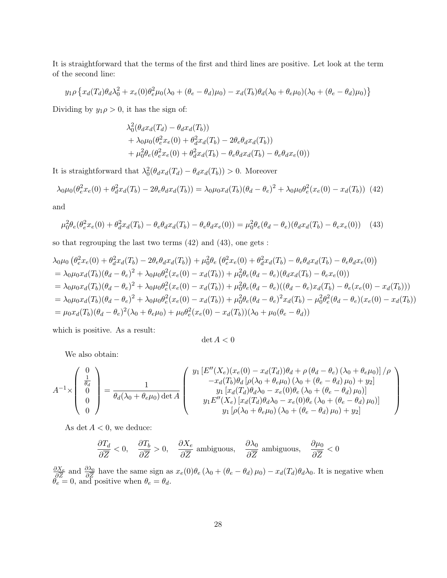It is straightforward that the terms of the first and third lines are positive. Let look at the term of the second line:

$$
y_1 \rho \left\{ x_d(T_d) \theta_d \lambda_0^2 + x_e(0) \theta_e^2 \mu_0(\lambda_0 + (\theta_e - \theta_d)\mu_0) - x_d(T_b) \theta_d(\lambda_0 + \theta_e \mu_0)(\lambda_0 + (\theta_e - \theta_d)\mu_0) \right\}
$$

Dividing by  $y_1 \rho > 0$ , it has the sign of:

$$
\lambda_0^2(\theta_d x_d(T_d) - \theta_d x_d(T_b))
$$
  
+ 
$$
\lambda_0 \mu_0(\theta_e^2 x_e(0) + \theta_d^2 x_d(T_b) - 2\theta_e \theta_d x_d(T_b))
$$
  
+ 
$$
\mu_0^2 \theta_e(\theta_e^2 x_e(0) + \theta_d^2 x_d(T_b) - \theta_e \theta_d x_d(T_b) - \theta_e \theta_d x_e(0))
$$

It is straightforward that  $\lambda_0^2(\theta_d x_d(T_d) - \theta_d x_d(T_b)) > 0$ . Moreover

$$
\lambda_0 \mu_0(\theta_e^2 x_e(0) + \theta_d^2 x_d(T_b) - 2\theta_e \theta_d x_d(T_b)) = \lambda_0 \mu_0 x_d(T_b)(\theta_d - \theta_e)^2 + \lambda_0 \mu_0 \theta_e^2(x_e(0) - x_d(T_b))
$$
 (42)

and

$$
\mu_0^2 \theta_e(\theta_e^2 x_e(0) + \theta_d^2 x_d(T_b) - \theta_e \theta_d x_d(T_b) - \theta_e \theta_d x_e(0)) = \mu_0^2 \theta_e(\theta_d - \theta_e)(\theta_d x_d(T_b) - \theta_e x_e(0)) \tag{43}
$$

so that regrouping the last two terms (42) and (43), one gets :

$$
\lambda_0 \mu_0 \left( \theta_e^2 x_e(0) + \theta_d^2 x_d(T_b) - 2\theta_e \theta_d x_d(T_b) \right) + \mu_0^2 \theta_e \left( \theta_e^2 x_e(0) + \theta_d^2 x_d(T_b) - \theta_e \theta_d x_d(T_b) - \theta_e \theta_d x_e(0) \right) \n= \lambda_0 \mu_0 x_d(T_b) (\theta_d - \theta_e)^2 + \lambda_0 \mu_0 \theta_e^2 (x_e(0) - x_d(T_b)) + \mu_0^2 \theta_e (\theta_d - \theta_e) (\theta_d x_d(T_b) - \theta_e x_e(0)) \n= \lambda_0 \mu_0 x_d(T_b) (\theta_d - \theta_e)^2 + \lambda_0 \mu_0 \theta_e^2 (x_e(0) - x_d(T_b)) + \mu_0^2 \theta_e (\theta_d - \theta_e) ((\theta_d - \theta_e) x_d(T_b) - \theta_e (x_e(0) - x_d(T_b))) \n= \lambda_0 \mu_0 x_d(T_b) (\theta_d - \theta_e)^2 + \lambda_0 \mu_0 \theta_e^2 (x_e(0) - x_d(T_b)) + \mu_0^2 \theta_e (\theta_d - \theta_e)^2 x_d(T_b) - \mu_0^2 \theta_e^2 (\theta_d - \theta_e) (x_e(0) - x_d(T_b)) \n= \mu_0 x_d(T_b) (\theta_d - \theta_e)^2 (\lambda_0 + \theta_e \mu_0) + \mu_0 \theta_e^2 (x_e(0) - x_d(T_b)) (\lambda_0 + \mu_0 (\theta_e - \theta_d))
$$

which is positive. As a result:

$$
\det A < 0
$$

We also obtain:

$$
A^{-1} \times \begin{pmatrix} 0 \\ \frac{1}{\theta_d} \\ 0 \\ 0 \\ 0 \end{pmatrix} = \frac{1}{\theta_d(\lambda_0 + \theta_e \mu_0) \det A} \begin{pmatrix} y_1 \left[ E''(X_e)(x_e(0) - x_d(T_d))\theta_d + \rho(\theta_d - \theta_e) (\lambda_0 + \theta_e \mu_0) \right] / \rho \\ -x_d(T_b)\theta_d \left[ \rho(\lambda_0 + \theta_e \mu_0) (\lambda_0 + (\theta_e - \theta_d) \mu_0) + y_2 \right] \\ y_1 \left[ x_d(T_d)\theta_d\lambda_0 - x_e(0)\theta_e (\lambda_0 + (\theta_e - \theta_d) \mu_0) \right] \\ y_1 E''(X_e) \left[ x_d(T_d)\theta_d\lambda_0 - x_e(0)\theta_e (\lambda_0 + (\theta_e - \theta_d) \mu_0) \right] \\ y_1 \left[ \rho(\lambda_0 + \theta_e \mu_0) (\lambda_0 + (\theta_e - \theta_d) \mu_0) + y_2 \right] \end{pmatrix}
$$

As det  $A < 0$ , we deduce:

$$
\frac{\partial T_d}{\partial \overline{Z}} < 0, \quad \frac{\partial T_b}{\partial \overline{Z}} > 0, \quad \frac{\partial X_e}{\partial \overline{Z}} \text{ ambiguous}, \quad \frac{\partial \lambda_0}{\partial \overline{Z}} \text{ ambiguous}, \quad \frac{\partial \mu_0}{\partial \overline{Z}} < 0
$$

 $\underline{\partial X_e}$  $\frac{\partial X_e}{\partial \overline{Z}}$  and  $\frac{\partial \lambda_0}{\partial \overline{Z}}$  have the same sign as  $x_e(0)\theta_e(\lambda_0 + (\theta_e - \theta_d)\mu_0) - x_d(T_d)\theta_d\lambda_0$ . It is negative when  $\ddot{\theta_e} = 0$ , and positive when  $\theta_e = \theta_d$ .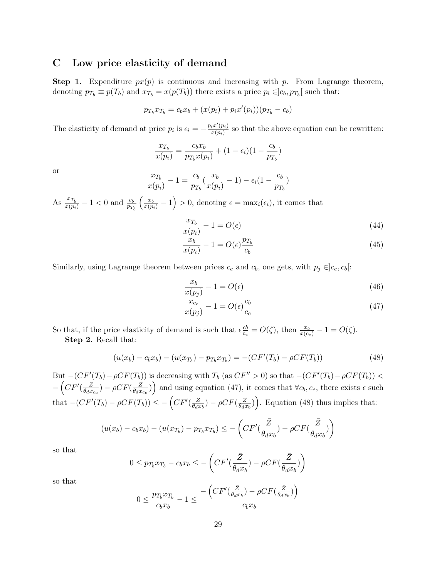### C Low price elasticity of demand

**Step 1.** Expenditure  $px(p)$  is continuous and increasing with p. From Lagrange theorem, denoting  $p_{T_b} \equiv p(T_b)$  and  $x_{T_b} = x(p(T_b))$  there exists a price  $p_i \in ]c_b, p_{T_b}[$  such that:

$$
p_{T_b} x_{T_b} = c_b x_b + (x(p_i) + p_i x'(p_i))(p_{T_b} - c_b)
$$

The elasticity of demand at price  $p_i$  is  $\epsilon_i = -\frac{p_i x'(p_i)}{x(p_i)}$  $\frac{x(p_i)}{x(p_i)}$  so that the above equation can be rewritten:

$$
\frac{x_{T_b}}{x(p_i)} = \frac{c_b x_b}{p_{T_b} x(p_i)} + (1 - \epsilon_i)(1 - \frac{c_b}{p_{T_b}})
$$

or

$$
\frac{x_{T_b}}{x(p_i)} - 1 = \frac{c_b}{p_{T_b}} \left( \frac{x_b}{x(p_i)} - 1 \right) - \epsilon_i (1 - \frac{c_b}{p_{T_b}})
$$

As  $\frac{x_{T_b}}{x(p_i)} - 1 < 0$  and  $\frac{c_b}{p_{T_b}}$  $\left(\frac{x_b}{x(p_i)}-1\right) > 0$ , denoting  $\epsilon = \max_i(\epsilon_i)$ , it comes that

$$
\frac{x_{T_b}}{x(p_i)} - 1 = O(\epsilon) \tag{44}
$$

$$
\frac{x_b}{x(p_i)} - 1 = O(\epsilon) \frac{p_{T_b}}{c_b} \tag{45}
$$

Similarly, using Lagrange theorem between prices  $c_e$  and  $c_b$ , one gets, with  $p_j \in ]c_e, c_b[$ :

$$
\frac{x_b}{x(p_j)} - 1 = O(\epsilon) \tag{46}
$$

$$
\frac{x_{c_e}}{x(p_j)} - 1 = O(\epsilon) \frac{c_b}{c_e} \tag{47}
$$

So that, if the price elasticity of demand is such that  $\epsilon_{c}^{cb}$  $\frac{cb}{c_e} = O(\zeta)$ , then  $\frac{x_b}{x(c_e)} - 1 = O(\zeta)$ . Step 2. Recall that:

$$
(u(x_b) - c_b x_b) - (u(x_{T_b}) - p_{T_b} x_{T_b}) = -(CF'(T_b) - \rho CF(T_b))
$$
\n(48)

But  $-(CF'(T_b) - \rho CF(T_b))$  is decreasing with  $T_b$  (as  $CF'' > 0$ ) so that  $-(CF'(T_b) - \rho CF(T_b)) <$  $-\left(CF'(\frac{\bar{Z}}{a_{1}x}\right)$  $\frac{\bar{Z}}{\theta_d x_{ce}}$ ) –  $\rho C F(\frac{\bar{Z}}{\theta_d x}$  $\left(\frac{\bar{Z}}{\theta_d x_{ce}}\right)$  and using equation (47), it comes that  $\forall c_b, c_e$ , there exists  $\epsilon$  such that  $-(CF'(T_b) - \rho CF(T_b)) \leq -\left(CF'(\frac{\bar{Z}}{\theta_{AB}})\right)$  $\frac{\bar{Z}}{\theta_d x_b}) - \rho C F(\frac{\bar{Z}}{\theta_d x_b})$  $\left(\frac{\bar{Z}}{\theta_d x_b}\right)$ . Equation (48) thus implies that:

$$
(u(x_b) - c_b x_b) - (u(x_{T_b}) - p_{T_b} x_{T_b}) \le -\left( CF'(\frac{\bar{Z}}{\theta_d x_b}) - \rho CF(\frac{\bar{Z}}{\theta_d x_b}) \right)
$$

so that

$$
0 \le p_{T_b} x_{T_b} - c_b x_b \le -\left( CF'(\frac{\bar{Z}}{\theta_d x_b}) - \rho CF(\frac{\bar{Z}}{\theta_d x_b}) \right)
$$

so that

$$
0 \leq \frac{p_{T_b} x_{T_b}}{c_b x_b} - 1 \leq \frac{-\left(C F'(\frac{\bar{Z}}{\theta_d x_b}) - \rho C F(\frac{\bar{Z}}{\theta_d x_b})\right)}{c_b x_b}
$$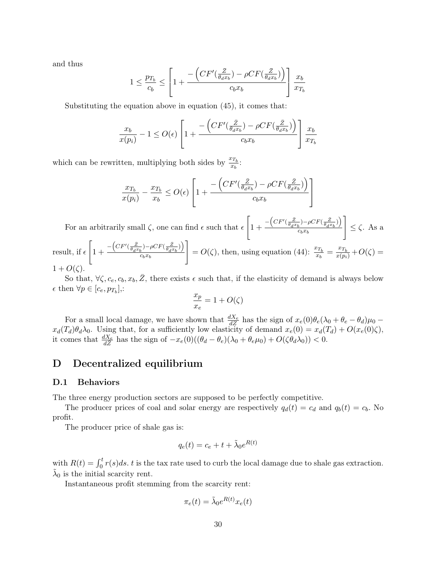and thus

$$
1 \leq \frac{p_{T_b}}{c_b} \leq \left[1 + \frac{-\left(CF'(\frac{\bar{Z}}{\theta_d x_b}) - \rho C F(\frac{\bar{Z}}{\theta_d x_b})\right)}{c_b x_b}\right] \frac{x_b}{x_{T_b}}
$$

Substituting the equation above in equation (45), it comes that:

$$
\frac{x_b}{x(p_i)} - 1 \le O(\epsilon) \left[ 1 + \frac{-\left(CF'(\frac{\bar{Z}}{\theta_d x_b}) - \rho C F(\frac{\bar{Z}}{\theta_d x_b})\right)}{c_b x_b} \right] \frac{x_b}{x_{T_b}}
$$

which can be rewritten, multiplying both sides by  $\frac{x_{T_b}}{x_b}$ :

$$
\frac{x_{T_b}}{x(p_i)} - \frac{x_{T_b}}{x_b} \le O(\epsilon) \left[ 1 + \frac{-\left(CF'(\frac{\bar{Z}}{\theta_d x_b}) - \rho C F(\frac{\bar{Z}}{\theta_d x_b})\right)}{c_b x_b} \right]
$$

For an arbitrarily small  $\zeta$ , one can find  $\epsilon$  such that  $\epsilon$  $\lceil$  $1+\frac{-\left(CF'(\frac{\bar{Z}}{\theta_d x_b})-\rho C F(\frac{\bar{Z}}{\theta_d x_b})\right)}{C T}$  $\overline{c_bx_b}$ 1  $\leq \zeta$ . As a  $result,$  if  $\epsilon$  $\sqrt{ }$  $1+\frac{-\left(CF'(\frac{\bar{Z}}{\theta_d x_b})-\rho C F(\frac{\bar{Z}}{\theta_d x_b})\right)}{C T}$  $\overline{c_bx_b}$  $= O(\zeta)$ , then, using equation (44):  $\frac{x_{T_b}}{x_b} = \frac{x_{T_b}}{x(p_i)} + O(\zeta) =$  $1 + O(\zeta)$ 

So that,  $\forall \zeta, c_e, c_b, x_b, \bar{Z}$ , there exists  $\epsilon$  such that, if the elasticity of demand is always below  $\epsilon$  then  $\forall p \in [c_e, p_{T_b}].$ 

$$
\frac{x_p}{x_e} = 1 + O(\zeta)
$$

For a small local damage, we have shown that  $\frac{dX_e}{dZ}$  has the sign of  $x_e(0)\theta_e(\lambda_0 + \theta_e - \theta_d)\mu_0$  $x_d(T_d)\theta_d\lambda_0$ . Using that, for a sufficiently low elasticity of demand  $x_e(0) = x_d(T_d) + O(x_e(0)\zeta)$ , it comes that  $\frac{dX_e}{dZ}$  has the sign of  $-x_e(0)((\theta_d - \theta_e)(\lambda_0 + \theta_e \mu_0) + O(\zeta \theta_d \lambda_0)) < 0$ .

### D Decentralized equilibrium

### D.1 Behaviors

The three energy production sectors are supposed to be perfectly competitive.

The producer prices of coal and solar energy are respectively  $q_d(t) = c_d$  and  $q_b(t) = c_b$ . No profit.

The producer price of shale gas is:

$$
q_e(t) = c_e + t + \tilde{\lambda}_0 e^{R(t)}
$$

with  $R(t) = \int_0^t r(s)ds$ . t is the tax rate used to curb the local damage due to shale gas extraction.  $\tilde{\lambda}_0$  is the initial scarcity rent.

Instantaneous profit stemming from the scarcity rent:

$$
\pi_e(t) = \tilde{\lambda}_0 e^{R(t)} x_e(t)
$$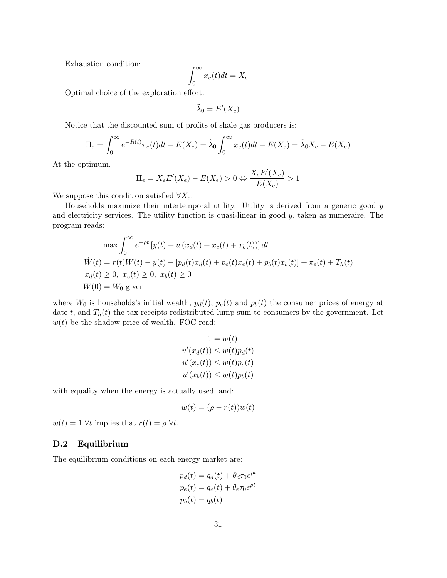Exhaustion condition:

$$
\int_0^\infty x_e(t)dt = X_e
$$

Optimal choice of the exploration effort:

$$
\tilde{\lambda}_0 = E'(X_e)
$$

Notice that the discounted sum of profits of shale gas producers is:

$$
\Pi_e = \int_0^\infty e^{-R(t)} \pi_e(t) dt - E(X_e) = \tilde{\lambda}_0 \int_0^\infty x_e(t) dt - E(X_e) = \tilde{\lambda}_0 X_e - E(X_e)
$$

At the optimum,

$$
\Pi_e = X_e E'(X_e) - E(X_e) > 0 \Leftrightarrow \frac{X_e E'(X_e)}{E(X_e)} > 1
$$

We suppose this condition satisfied  $\forall X_e$ .

Households maximize their intertemporal utility. Utility is derived from a generic good  $y$ and electricity services. The utility function is quasi-linear in good  $y$ , taken as numeraire. The program reads:

$$
\max \int_0^\infty e^{-\rho t} \left[ y(t) + u \left( x_d(t) + x_e(t) + x_b(t) \right) \right] dt
$$
  
\n
$$
\dot{W}(t) = r(t)W(t) - y(t) - \left[ p_d(t)x_d(t) + p_e(t)x_e(t) + p_b(t)x_b(t) \right] + \pi_e(t) + T_h(t)
$$
  
\n
$$
x_d(t) \ge 0, \ x_e(t) \ge 0, \ x_b(t) \ge 0
$$
  
\n
$$
W(0) = W_0 \text{ given}
$$

where  $W_0$  is households's initial wealth,  $p_d(t)$ ,  $p_e(t)$  and  $p_b(t)$  the consumer prices of energy at date t, and  $T_h(t)$  the tax receipts redistributed lump sum to consumers by the government. Let  $w(t)$  be the shadow price of wealth. FOC read:

$$
1 = w(t)
$$
  

$$
u'(x_d(t)) \le w(t)p_d(t)
$$
  

$$
u'(x_e(t)) \le w(t)p_e(t)
$$
  

$$
u'(x_b(t)) \le w(t)p_b(t)
$$

with equality when the energy is actually used, and:

$$
\dot{w}(t) = (\rho - r(t))w(t)
$$

 $w(t) = 1 \ \forall t$  implies that  $r(t) = \rho \ \forall t$ .

### D.2 Equilibrium

The equilibrium conditions on each energy market are:

$$
p_d(t) = q_d(t) + \theta_d \tau_0 e^{\rho t}
$$
  
\n
$$
p_e(t) = q_e(t) + \theta_e \tau_0 e^{\rho t}
$$
  
\n
$$
p_b(t) = q_b(t)
$$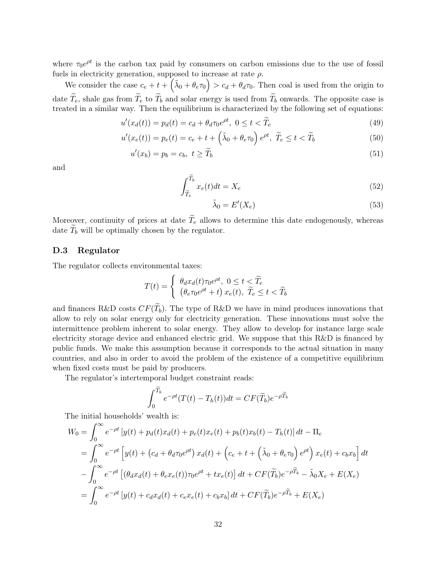where  $\tau_0 e^{\rho t}$  is the carbon tax paid by consumers on carbon emissions due to the use of fossil fuels in electricity generation, supposed to increase at rate  $\rho$ .

We consider the case  $c_e + t + (\tilde{\lambda}_0 + \theta_e \tau_0) > c_d + \theta_d \tau_0$ . Then coal is used from the origin to date  $\widetilde{T}_e$ , shale gas from  $\widetilde{T}_e$  to  $\widetilde{T}_b$  and solar energy is used from  $\widetilde{T}_b$  onwards. The opposite case is treated in a similar way. Then the equilibrium is characterized by the following set of equations:

$$
u'(x_d(t)) = p_d(t) = c_d + \theta_d \tau_0 e^{\rho t}, \ 0 \le t < \widetilde{T}_e
$$
\n<sup>(49)</sup>

$$
u'(x_e(t)) = p_e(t) = c_e + t + \left(\tilde{\lambda}_0 + \theta_e \tau_0\right) e^{\rho t}, \ \tilde{T}_e \le t < \tilde{T}_b \tag{50}
$$

$$
u'(x_b) = p_b = c_b, \ t \ge \widetilde{T}_b \tag{51}
$$

and

$$
\int_{\widetilde{T}_e}^{T_b} x_e(t)dt = X_e \tag{52}
$$

$$
\tilde{\lambda}_0 = E'(X_e) \tag{53}
$$

Moreover, continuity of prices at date  $\widetilde{T}_e$  allows to determine this date endogenously, whereas date  $\widetilde{T}_b$  will be optimally chosen by the regulator.

### D.3 Regulator

The regulator collects environmental taxes:

$$
T(t) = \begin{cases} \theta_d x_d(t) \tau_0 e^{\rho t}, & 0 \le t < \widetilde{T}_e \\ (\theta_e \tau_0 e^{\rho t} + t) x_e(t), & \widetilde{T}_e \le t < \widetilde{T}_b \end{cases}
$$

and finances R&D costs  $CF(\widetilde{T}_b)$ . The type of R&D we have in mind produces innovations that allow to rely on solar energy only for electricity generation. These innovations must solve the intermittence problem inherent to solar energy. They allow to develop for instance large scale electricity storage device and enhanced electric grid. We suppose that this R&D is financed by public funds. We make this assumption because it corresponds to the actual situation in many countries, and also in order to avoid the problem of the existence of a competitive equilibrium when fixed costs must be paid by producers.

The regulator's intertemporal budget constraint reads:

$$
\int_0^{\widetilde{T}_b} e^{-\rho t} (T(t) - T_h(t)) dt = C F(\widetilde{T}_b) e^{-\rho \widetilde{T}_b}
$$

The initial households' wealth is:

$$
W_0 = \int_0^\infty e^{-\rho t} \left[ y(t) + p_d(t)x_d(t) + p_e(t)x_e(t) + p_b(t)x_b(t) - T_h(t) \right] dt - \Pi_e
$$
  
\n
$$
= \int_0^\infty e^{-\rho t} \left[ y(t) + \left( c_d + \theta_d \tau_0 e^{\rho t} \right) x_d(t) + \left( c_e + t + \left( \tilde{\lambda}_0 + \theta_e \tau_0 \right) e^{\rho t} \right) x_e(t) + c_b x_b \right] dt
$$
  
\n
$$
- \int_0^\infty e^{-\rho t} \left[ (\theta_d x_d(t) + \theta_e x_e(t)) \tau_0 e^{\rho t} + tx_e(t) \right] dt + C F(\tilde{T}_b) e^{-\rho \tilde{T}_b} - \tilde{\lambda}_0 X_e + E(X_e)
$$
  
\n
$$
= \int_0^\infty e^{-\rho t} \left[ y(t) + c_d x_d(t) + c_e x_e(t) + c_b x_b \right] dt + C F(\tilde{T}_b) e^{-\rho \tilde{T}_b} + E(X_e)
$$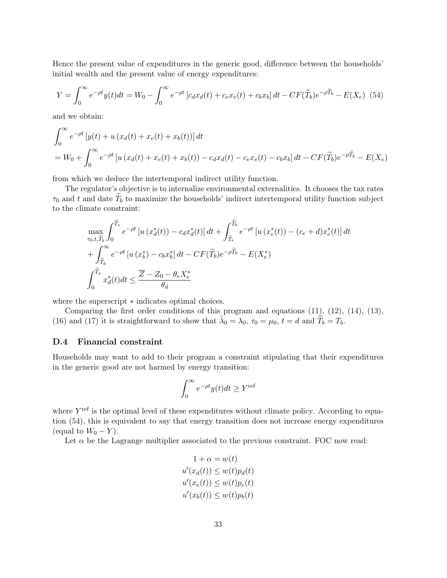Hence the present value of expenditures in the generic good, difference between the households' initial wealth and the present value of energy expenditures:

$$
Y = \int_0^\infty e^{-\rho t} y(t) dt = W_0 - \int_0^\infty e^{-\rho t} \left[ c_d x_d(t) + c_e x_e(t) + c_b x_b \right] dt - C F(\widetilde{T}_b) e^{-\rho \widetilde{T}_b} - E(X_e) \tag{54}
$$

and we obtain:

$$
\int_0^\infty e^{-\rho t} \left[ y(t) + u \left( x_d(t) + x_e(t) + x_b(t) \right) \right] dt
$$
  
=  $W_0 + \int_0^\infty e^{-\rho t} \left[ u \left( x_d(t) + x_e(t) + x_b(t) \right) - c_d x_d(t) - c_e x_e(t) - c_b x_b \right] dt - C F(\tilde{T}_b) e^{-\rho \tilde{T}_b} - E(X_e)$ 

from which we deduce the intertemporal indirect utility function.

The regulator's objective is to internalize environmental externalities. It chooses the tax rates  $\tau_0$  and t and date  $T_b$  to maximize the households' indirect intertemporal utility function subject to the climate constraint:

$$
\max_{\tau_0, t, \widetilde{T}_b} \int_0^{\widetilde{T}_e} e^{-\rho t} \left[ u \left( x_d^*(t) \right) - c_d x_d^*(t) \right] dt + \int_{\widetilde{T}_e}^{\widetilde{T}_b} e^{-\rho t} \left[ u \left( x_e^*(t) \right) - (c_e + d) x_e^*(t) \right] dt
$$

$$
+ \int_{\widetilde{T}_b}^{\infty} e^{-\rho t} \left[ u \left( x_b^* \right) - c_b x_b^* \right] dt - C F(\widetilde{T}_b) e^{-\rho \widetilde{T}_b} - E(X_e^*)
$$

$$
\int_0^{\widetilde{T}_e} x_d^*(t) dt \le \frac{\overline{Z} - Z_0 - \theta_e X_e^*}{\theta_d}
$$

where the superscript  $*$  indicates optimal choices.

Comparing the first order conditions of this program and equations  $(11)$ ,  $(12)$ ,  $(14)$ ,  $(13)$ , (16) and (17) it is straightforward to show that  $\tilde{\lambda}_0 = \lambda_0$ ,  $\tau_0 = \mu_0$ ,  $t = d$  and  $\tilde{T}_b = T_b$ .

### D.4 Financial constraint

Households may want to add to their program a constraint stipulating that their expenditures in the generic good are not harmed by energy transition:

$$
\int_0^\infty e^{-\rho t} y(t) dt \ge Y^{\text{ref}}
$$

where  $Y<sup>ref</sup>$  is the optimal level of these expenditures without climate policy. According to equation (54), this is equivalent to say that energy transition does not increase energy expenditures (equal to  $W_0 - Y$ ).

Let  $\alpha$  be the Lagrange multiplier associated to the previous constraint. FOC now read:

$$
1 + \alpha = w(t)
$$
  
u'(x<sub>d</sub>(t))  $\leq$  w(t)p<sub>d</sub>(t)  
u'(x<sub>e</sub>(t))  $\leq$  w(t)p<sub>e</sub>(t)  
u'(x<sub>b</sub>(t))  $\leq$  w(t)p<sub>b</sub>(t)